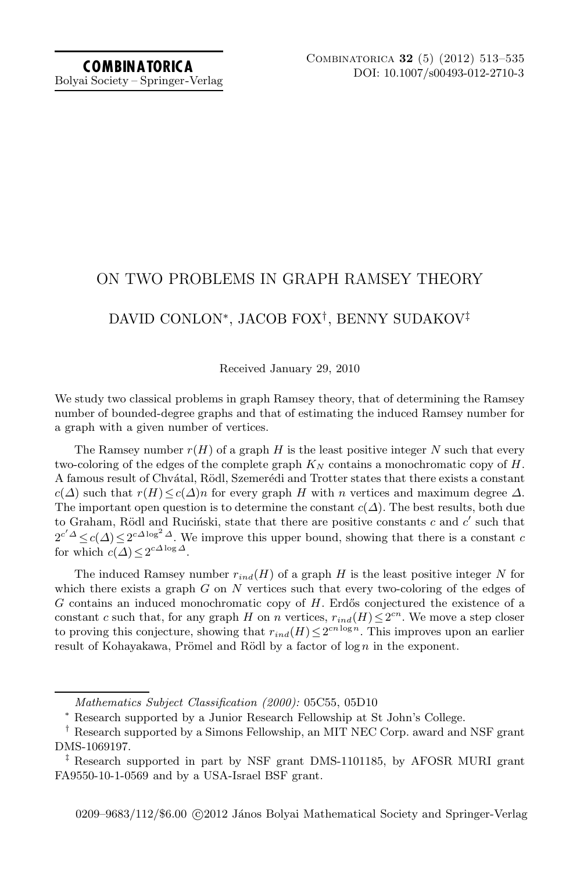# Bolyai Society – Springer-Verlag

## ON TWO PROBLEMS IN GRAPH RAMSEY THEORY

# DAVID CONLON∗, JACOB FOX†, BENNY SUDAKOV‡

Received January 29, 2010

We study two classical problems in graph Ramsey theory, that of determining the Ramsey number of bounded-degree graphs and that of estimating the induced Ramsey number for a graph with a given number of vertices.

The Ramsey number  $r(H)$  of a graph H is the least positive integer N such that every two-coloring of the edges of the complete graph  $K_N$  contains a monochromatic copy of  $H$ . A famous result of Chvátal, Rödl, Szemerédi and Trotter states that there exists a constant  $c(\Delta)$  such that  $r(H) \leq c(\Delta)n$  for every graph H with n vertices and maximum degree  $\Delta$ . The important open question is to determine the constant  $c(\Delta)$ . The best results, both due to Graham, Rödl and Ruciński, state that there are positive constants c and  $c'$  such that  $2^{c'\Delta} \leq c(\Delta) \leq 2^{c\Delta \log^2 \Delta}$ . We improve this upper bound, showing that there is a constant c for which  $c(\Delta) < 2^{c\Delta \log \Delta}$ .

The induced Ramsey number  $r_{ind}(H)$  of a graph H is the least positive integer N for which there exists a graph  $G$  on  $N$  vertices such that every two-coloring of the edges of  $G$  contains an induced monochromatic copy of  $H$ . Erdős conjectured the existence of a constant c such that, for any graph H on n vertices,  $r_{ind}(H) \leq 2^{cn}$ . We move a step closer to proving this conjecture, showing that  $r_{ind}(H) \leq 2^{cn \log n}$ . This improves upon an earlier result of Kohayakawa, Prömel and Rödl by a factor of  $\log n$  in the exponent.

*Mathematics Subject Classification (2000):* 05C55, 05D10

<sup>∗</sup> Research supported by a Junior Research Fellowship at St John's College.

<sup>†</sup> Research supported by a Simons Fellowship, an MIT NEC Corp. award and NSF grant DMS-1069197.

<sup>‡</sup> Research supported in part by NSF grant DMS-1101185, by AFOSR MURI grant FA9550-10-1-0569 and by a USA-Israel BSF grant.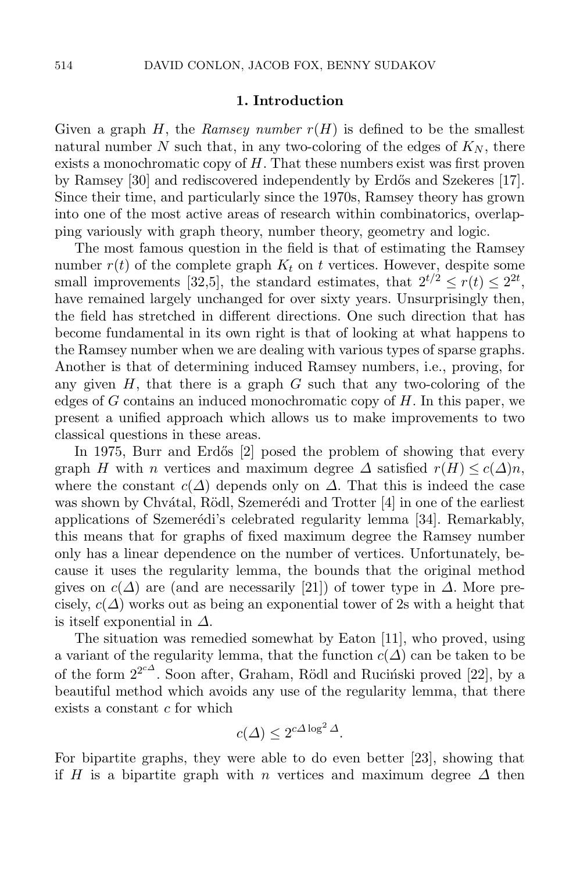#### **1. Introduction**

Given a graph  $H$ , the *Ramsey number*  $r(H)$  is defined to be the smallest natural number N such that, in any two-coloring of the edges of  $K_N$ , there exists a monochromatic copy of  $H$ . That these numbers exist was first proven by Ramsey [\[30\]](#page-22-0) and rediscovered independently by Erdős and Szekeres [\[17\]](#page-21-0). Since their time, and particularly since the 1970s, Ramsey theory has grown into one of the most active areas of research within combinatorics, overlapping variously with graph theory, number theory, geometry and logic.

The most famous question in the field is that of estimating the Ramsey number  $r(t)$  of the complete graph  $K_t$  on t vertices. However, despite some small improvements [\[32](#page-22-1)[,5\]](#page-21-1), the standard estimates, that  $2^{t/2} \le r(t) \le 2^{2t}$ , have remained largely unchanged for over sixty years. Unsurprisingly then, the field has stretched in different directions. One such direction that has become fundamental in its own right is that of looking at what happens to the Ramsey number when we are dealing with various types of sparse graphs. Another is that of determining induced Ramsey numbers, i.e., proving, for any given  $H$ , that there is a graph  $G$  such that any two-coloring of the edges of G contains an induced monochromatic copy of  $H$ . In this paper, we present a unified approach which allows us to make improvements to two classical questions in these areas.

In 1975, Burr and Erdős [\[2\]](#page-21-2) posed the problem of showing that every graph H with n vertices and maximum degree  $\Delta$  satisfied  $r(H) \leq c(\Delta)n$ , where the constant  $c(\Delta)$  depends only on  $\Delta$ . That this is indeed the case was shown by Chvátal, Rödl, Szemerédi and Trotter  $[4]$  in one of the earliest applications of Szemerédi's celebrated regularity lemma  $[34]$ . Remarkably, this means that for graphs of fixed maximum degree the Ramsey number only has a linear dependence on the number of vertices. Unfortunately, because it uses the regularity lemma, the bounds that the original method gives on  $c(\Delta)$  are (and are necessarily [\[21\]](#page-21-4)) of tower type in  $\Delta$ . More precisely,  $c(\Delta)$  works out as being an exponential tower of 2s with a height that is itself exponential in  $\Delta$ .

The situation was remedied somewhat by Eaton [\[11\]](#page-21-5), who proved, using a variant of the regularity lemma, that the function  $c(\Delta)$  can be taken to be of the form  $2^{2c\Delta}$ . Soon after, Graham, Rödl and Ruciński proved [\[22\]](#page-22-3), by a beautiful method which avoids any use of the regularity lemma, that there exists a constant  $c$  for which

$$
c(\Delta) \le 2^{c\Delta \log^2 \Delta}.
$$

For bipartite graphs, they were able to do even better [\[23\]](#page-22-4), showing that if H is a bipartite graph with n vertices and maximum degree  $\Delta$  then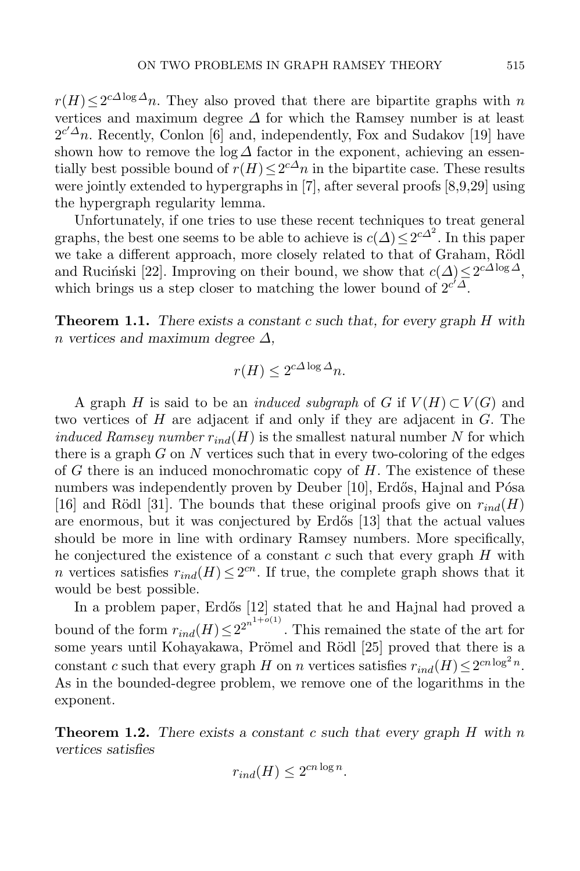$r(H) \leq 2^{c\Delta \log \Delta} n$ . They also proved that there are bipartite graphs with n vertices and maximum degree  $\Delta$  for which the Ramsey number is at least  $2^{c'\Delta}n$ . Recently, Conlon [\[6\]](#page-21-6) and, independently, Fox and Sudakov [\[19\]](#page-21-7) have shown how to remove the  $\log \Delta$  factor in the exponent, achieving an essentially best possible bound of  $r(H) \leq 2^{c\Delta}n$  in the bipartite case. These results were jointly extended to hypergraphs in [\[7\]](#page-21-8), after several proofs [\[8](#page-21-9)[,9,](#page-21-10)[29\]](#page-22-5) using the hypergraph regularity lemma.

Unfortunately, if one tries to use these recent techniques to treat general graphs, the best one seems to be able to achieve is  $c(\Delta) \leq 2^{c\Delta^2}$ . In this paper we take a different approach, more closely related to that of Graham, Rödl and Rucinski [\[22\]](#page-22-3). Improving on their bound, we show that  $c(\Delta) \leq 2^{c(\Delta \log \Delta)}$ , which brings us a step closer to matching the lower bound of  $2^{c^2}\Delta$ .

<span id="page-2-1"></span>**Theorem 1.1.** *There exists a constant* c *such that, for every graph* H *with* n *vertices and maximum degree* Δ*,*

$$
r(H) \le 2^{c\Delta \log \Delta} n.
$$

A graph H is said to be an *induced subgraph* of G if  $V(H) \subset V(G)$  and two vertices of H are adjacent if and only if they are adjacent in G. The *induced Ramsey number*  $r_{ind}(H)$  is the smallest natural number N for which there is a graph  $G$  on  $N$  vertices such that in every two-coloring of the edges of  $G$  there is an induced monochromatic copy of  $H$ . The existence of these numbers was independently proven by Deuber [\[10\]](#page-21-11), Erdős, Hajnal and Pósa [\[16\]](#page-21-12) and Rödl [\[31\]](#page-22-6). The bounds that these original proofs give on  $r_{ind}(H)$ are enormous, but it was conjectured by Erdős [\[13\]](#page-21-13) that the actual values should be more in line with ordinary Ramsey numbers. More specifically, he conjectured the existence of a constant  $c$  such that every graph  $H$  with n vertices satisfies  $r_{ind}(H) \leq 2^{cn}$ . If true, the complete graph shows that it would be best possible.

In a problem paper, Erdős [\[12\]](#page-21-14) stated that he and Hajnal had proved a bound of the form  $r_{ind}(H) \leq 2^{2^{n^{1+\sigma(1)}}}$ . This remained the state of the art for some years until Kohayakawa, Prömel and Rödl [\[25\]](#page-22-7) proved that there is a constant c such that every graph H on n vertices satisfies  $r_{ind}(H) \leq 2^{cn \log^2 n}$ . As in the bounded-degree problem, we remove one of the logarithms in the exponent.

<span id="page-2-0"></span>**Theorem 1.2.** *There exists a constant* c *such that every graph* H *with* n *vertices satisfies*

$$
r_{ind}(H) \le 2^{cn \log n}.
$$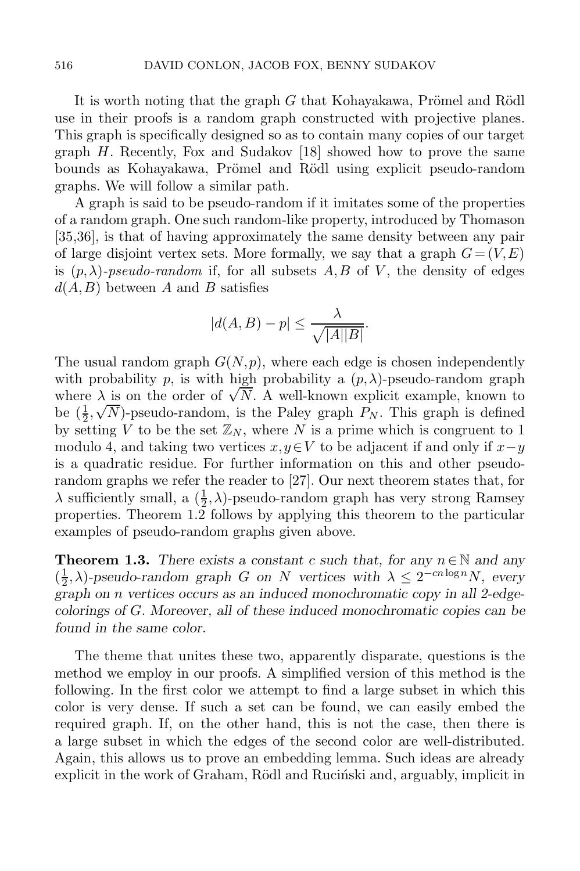It is worth noting that the graph  $G$  that Kohayakawa, Prömel and Rödl use in their proofs is a random graph constructed with projective planes. This graph is specifically designed so as to contain many copies of our target graph  $H$ . Recently, Fox and Sudakov [\[18\]](#page-21-15) showed how to prove the same bounds as Kohayakawa, Prömel and Rödl using explicit pseudo-random graphs. We will follow a similar path.

A graph is said to be pseudo-random if it imitates some of the properties of a random graph. One such random-like property, introduced by Thomason [\[35,](#page-22-8)[36\]](#page-22-9), is that of having approximately the same density between any pair of large disjoint vertex sets. More formally, we say that a graph  $G = (V, E)$ is  $(p, \lambda)$ -pseudo-random if, for all subsets A, B of V, the density of edges  $d(A, B)$  between A and B satisfies

$$
|d(A,B) - p| \le \frac{\lambda}{\sqrt{|A||B|}}.
$$

The usual random graph  $G(N, p)$ , where each edge is chosen independently with probability p, is with high probability a  $(p, \lambda)$ -pseudo-random graph where  $\lambda$  is on the order of  $\sqrt{N}$ . A well-known explicit example, known to be  $(\frac{1}{2}, \sqrt{N})$ -pseudo-random, is the Paley graph  $P_N$ . This graph is defined<br>by setting V to be the set  $\mathbb{Z}_N$ , where N is a prime which is congruent to 1 by setting V to be the set  $\mathbb{Z}_N$ , where N is a prime which is congruent to 1 modulo 4, and taking two vertices  $x, y \in V$  to be adjacent if and only if  $x-y$ is a quadratic residue. For further information on this and other pseudorandom graphs we refer the reader to [\[27\]](#page-22-10). Our next theorem states that, for  $\lambda$  sufficiently small, a  $(\frac{1}{2}, \lambda)$ -pseudo-random graph has very strong Ramsey<br>properties. Theorem 1.2 follows by applying this theorem to the particular properties. Theorem [1.2](#page-2-0) follows by applying this theorem to the particular examples of pseudo-random graphs given above.

<span id="page-3-0"></span>**Theorem 1.3.** *There exists a constant c such that, for any*  $n \in \mathbb{N}$  *and any*  $(\frac{1}{2}, \lambda)$ -pseudo-random graph G on N vertices with  $\lambda \leq 2^{-cn \log n}N$ , every graph on n vertices occurs as an induced monochromatic copy in all 2-edge*graph on* n *vertices occurs as an induced monochromatic copy in all 2-edgecolorings of* G*. Moreover, all of these induced monochromatic copies can be found in the same color.*

The theme that unites these two, apparently disparate, questions is the method we employ in our proofs. A simplified version of this method is the following. In the first color we attempt to find a large subset in which this color is very dense. If such a set can be found, we can easily embed the required graph. If, on the other hand, this is not the case, then there is a large subset in which the edges of the second color are well-distributed. Again, this allows us to prove an embedding lemma. Such ideas are already explicit in the work of Graham, Rödl and Rucinski and, arguably, implicit in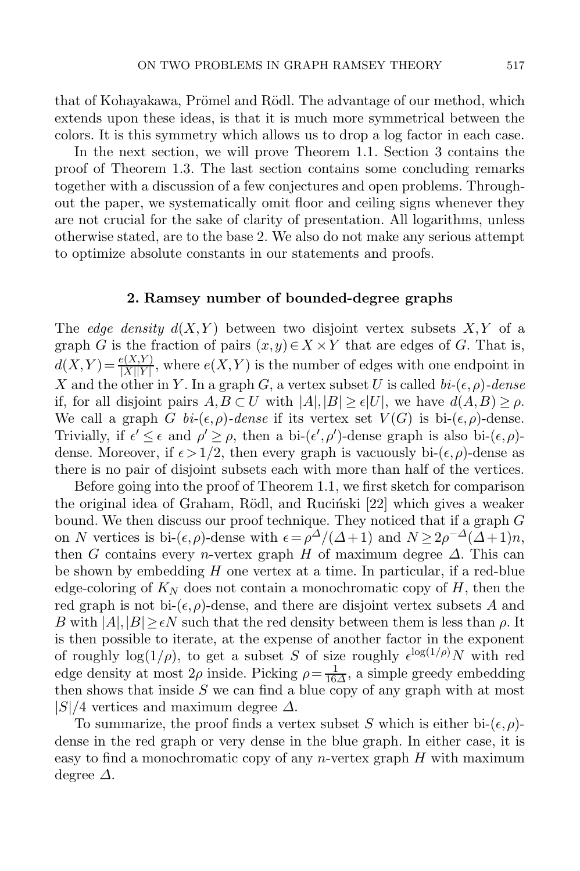that of Kohayakawa, Prömel and Rödl. The advantage of our method, which extends upon these ideas, is that it is much more symmetrical between the colors. It is this symmetry which allows us to drop a log factor in each case.

In the next section, we will prove Theorem [1.1.](#page-2-1) Section [3](#page-10-0) contains the proof of Theorem [1.3.](#page-3-0) The last section contains some concluding remarks together with a discussion of a few conjectures and open problems. Throughout the paper, we systematically omit floor and ceiling signs whenever they are not crucial for the sake of clarity of presentation. All logarithms, unless otherwise stated, are to the base 2. We also do not make any serious attempt to optimize absolute constants in our statements and proofs.

## **2. Ramsey number of bounded-degree graphs**

The *edge density*  $d(X, Y)$  between two disjoint vertex subsets  $X, Y$  of a graph G is the fraction of pairs  $(x,y) \in X \times Y$  that are edges of G. That is,  $d(X,Y) = \frac{e(X,Y)}{|X||Y|}$ , where  $e(X,Y)$  is the number of edges with one endpoint in X and the other in Y. In a graph G, a vertex subset U is called  $bi-(\epsilon, \rho)$ *-dense* if, for all disjoint pairs  $A, B \subset U$  with  $|A|, |B| \geq \epsilon |U|$ , we have  $d(A, B) \geq \rho$ . We call a graph G  $bi-(\epsilon,\rho)$ *-dense* if its vertex set  $V(G)$  is bi- $(\epsilon,\rho)$ -dense. Trivially, if  $\epsilon' \leq \epsilon$  and  $\rho' \geq \rho$ , then a bi- $(\epsilon', \rho')$ -dense graph is also bi- $(\epsilon, \rho)$ dense. Moreover, if  $\epsilon > 1/2$ , then every graph is vacuously bi- $(\epsilon, \rho)$ -dense as there is no pair of disjoint subsets each with more than half of the vertices.

Before going into the proof of Theorem [1.1,](#page-2-1) we first sketch for comparison the original idea of Graham, Rödl, and Rucinski [\[22\]](#page-22-3) which gives a weaker bound. We then discuss our proof technique. They noticed that if a graph G on N vertices is bi- $(\epsilon, \rho)$ -dense with  $\epsilon = \rho^{\Delta}/(\Delta + 1)$  and  $N \geq 2\rho^{-\Delta}(\Delta + 1)n$ , then G contains every *n*-vertex graph H of maximum degree  $\Delta$ . This can be shown by embedding  $H$  one vertex at a time. In particular, if a red-blue edge-coloring of  $K_N$  does not contain a monochromatic copy of  $H$ , then the red graph is not bi- $(\epsilon, \rho)$ -dense, and there are disjoint vertex subsets A and B with  $|A|, |B| \geq \epsilon N$  such that the red density between them is less than  $\rho$ . It is then possible to iterate, at the expense of another factor in the exponent of roughly  $log(1/\rho)$ , to get a subset S of size roughly  $\epsilon^{\log(1/\rho)}N$  with red edge density at most  $2\rho$  inside. Picking  $\rho = \frac{1}{16\Delta}$ , a simple greedy embedding then shows that inside S we can find a blue copy of any graph with at most then shows that inside  $S$  we can find a blue copy of any graph with at most  $|S|/4$  vertices and maximum degree  $\Delta$ .

To summarize, the proof finds a vertex subset S which is either bi- $(\epsilon, \rho)$ dense in the red graph or very dense in the blue graph. In either case, it is easy to find a monochromatic copy of any  $n$ -vertex graph  $H$  with maximum degree  $\Delta$ .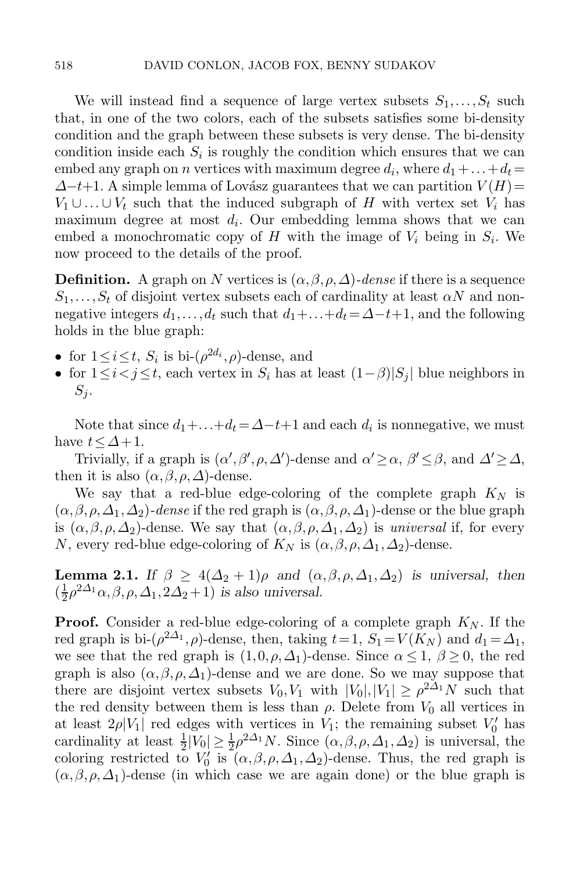We will instead find a sequence of large vertex subsets  $S_1, \ldots, S_t$  such that, in one of the two colors, each of the subsets satisfies some bi-density condition and the graph between these subsets is very dense. The bi-density condition inside each  $S_i$  is roughly the condition which ensures that we can embed any graph on *n* vertices with maximum degree  $d_i$ , where  $d_1 + ... + d_t =$  $\Delta-t+1$ . A simple lemma of Lovász guarantees that we can partition  $V(H)=$  $V_1 \cup \ldots \cup V_t$  such that the induced subgraph of H with vertex set  $V_i$  has maximum degree at most d. Our embedding lemma shows that we can maximum degree at most  $d_i$ . Our embedding lemma shows that we can embed a monochromatic copy of H with the image of  $V_i$  being in  $S_i$ . We now proceed to the details of the proof.

**Definition.** A graph on N vertices is  $(\alpha, \beta, \rho, \Delta)$ -dense if there is a sequence  $S_1, \ldots, S_t$  of disjoint vertex subsets each of cardinality at least  $\alpha N$  and non-<br>negative integers  $d_i$  and that  $d_i + d_i = \lambda - t + 1$  and the following negative integers  $d_1, \ldots, d_t$  such that  $d_1 + \ldots + d_t = \Delta - t + 1$ , and the following holds in the blue graph:

- for  $1 \leq i \leq t$ ,  $S_i$  is bi- $(\rho^{2d_i}, \rho)$ -dense, and
- for  $1 \leq i < j \leq t$ , each vertex in  $S_i$  has at least  $(1-\beta)|S_j|$  blue neighbors in  $S_i$ .

Note that since  $d_1 + ... + d_t = \Delta - t + 1$  and each  $d_i$  is nonnegative, we must have  $t \leq \Delta + 1$ .

Trivially, if a graph is  $(\alpha', \beta', \rho, \Delta')$ -dense and  $\alpha' \geq \alpha$ ,  $\beta' \leq \beta$ , and  $\Delta' \geq \Delta$ , then it is also  $(\alpha, \beta, \rho, \Delta)$ -dense.

We say that a red-blue edge-coloring of the complete graph  $K_N$  is  $(\alpha, \beta, \rho, \Delta_1, \Delta_2)$ -dense if the red graph is  $(\alpha, \beta, \rho, \Delta_1)$ -dense or the blue graph is  $(\alpha, \beta, \rho, \Delta_2)$ -dense. We say that  $(\alpha, \beta, \rho, \Delta_1, \Delta_2)$  is *universal* if, for every N, every red-blue edge-coloring of  $K_N$  is  $(\alpha, \beta, \rho, \Delta_1, \Delta_2)$ -dense.

<span id="page-5-0"></span>**Lemma 2.1.** *If*  $\beta \geq 4(\Delta_2 + 1)\rho$  *and*  $(\alpha, \beta, \rho, \Delta_1, \Delta_2)$  *is universal, then*  $\left(\frac{1}{2}\rho^{2\Delta_1}\alpha,\beta,\rho,\Delta_1,2\Delta_2+1\right)$  *is also universal.* 

**Proof.** Consider a red-blue edge-coloring of a complete graph  $K_N$ . If the red graph is bi- $(\rho^{2\Delta_1}, \rho)$ -dense, then, taking  $t = 1$ ,  $S_1 = V(K_N)$  and  $d_1 = \Delta_1$ , we see that the red graph is  $(1,0,\rho,\Delta_1)$ -dense. Since  $\alpha \leq 1, \beta \geq 0$ , the red graph is also  $(\alpha, \beta, \rho, \Delta_1)$ -dense and we are done. So we may suppose that there are disjoint vertex subsets  $V_0, V_1$  with  $|V_0|, |V_1| \ge \rho^{2\Delta_1} N$  such that the red density between them is less than  $\rho$ . Delete from  $V_0$  all vertices in at least  $2\rho |V_1|$  red edges with vertices in  $V_1$ ; the remaining subset  $V_0'$  has cardinality at least  $\frac{1}{2} |V_0| \geq \frac{1}{2} \rho^{2\Delta_1} N$ . Since  $(\alpha, \beta, \rho, \Delta_1, \Delta_2)$  is universal, the coloring restricted to  $V'_0$  is  $(\alpha, \beta, \rho, \Delta_1, \Delta_2)$ -dense. Thus the red graph is coloring restricted to  $V_0'$  is  $(\alpha, \beta, \rho, \Delta_1, \Delta_2)$ -dense. Thus, the red graph is  $(\alpha, \beta, \rho, \Delta_1)$ -dense (in which case we are again done) or the blue graph is  $(\alpha, \beta, \rho, \Delta_1)$ -dense (in which case we are again done) or the blue graph is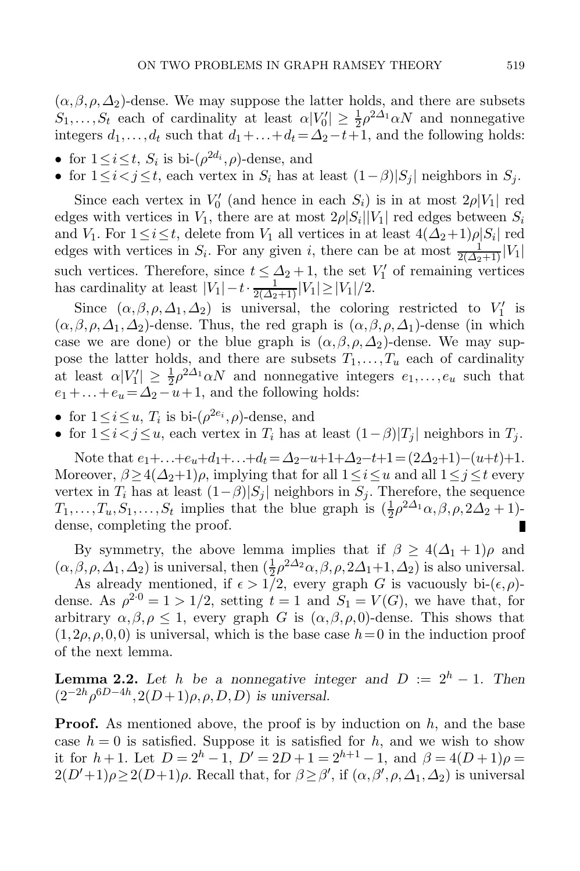$(\alpha, \beta, \rho, \Delta_2)$ -dense. We may suppose the latter holds, and there are subsets  $S_1, \ldots, S_t$  each of cardinality at least  $\alpha |V_0'| \geq \frac{1}{2} \rho^{2\Delta_1} \alpha N$  and nonnegative<br>integers  $d_1, \ldots, d_t$  such that  $d_1 + \ldots + d_t = \Delta_2 - t + 1$ , and the following holds: integers  $d_1, \ldots, d_t$  such that  $d_1 + \ldots + d_t = \Delta_2 - t + 1$ , and the following holds:

- for  $1 \leq i \leq t$ ,  $S_i$  is bi- $(\rho^{2d_i}, \rho)$ -dense, and
- for  $1 \leq i < j \leq t$ , each vertex in  $S_i$  has at least  $(1-\beta)|S_j|$  neighbors in  $S_j$ .

Since each vertex in  $V_0'$  (and hence in each  $S_i$ ) is in at most  $2\rho|V_1|$  red ess with vertices in  $V_1$ , there are at most  $2\rho|S_i||V_1|$  red edges between  $S_i$ edges with vertices in  $V_1$ , there are at most  $2\rho |S_i||V_1|$  red edges between  $S_i$ and  $V_1$ . For  $1 \le i \le t$ , delete from  $V_1$  all vertices in at least  $4(\Delta_2+1)\rho|S_i|$  red edges with vertices in  $S_i$ . For any given i, there can be at most  $\frac{1}{2(\Delta_2+1)}|V_1|$ <br>such vertices. Therefore, since  $t \leq \Delta_1 + 1$ , the set  $V'$  of remaining vertices such vertices. Therefore, since  $t \leq \Delta_2 + 1$ , the set  $V'_1$  of remaining vertices has cardinality at least  $|V_1| - t \cdot \frac{1}{\sqrt{1-\Delta_1}} |V_1| > |V_1|/2$ has cardinality at least  $|V_1| - t \cdot \frac{1}{2(\Delta_2+1)} |V_1| \ge |V_1|/2$ .<br>Since  $(\alpha, \beta, \alpha, \Delta_1, \Delta_2)$  is universal, the colori

Since  $(\alpha, \beta, \rho, \Delta_1, \Delta_2)$  is universal, the coloring restricted to  $V'_1$  is  $\beta$   $\alpha$   $\Delta_1$   $\Delta_2$  dense Thus the red graph is  $(\alpha, \beta, \alpha, \Delta_1)$  dense (in which  $(\alpha, \beta, \rho, \Delta_1, \Delta_2)$ -dense. Thus, the red graph is  $(\alpha, \beta, \rho, \Delta_1)$ -dense (in which case we are done) or the blue graph is  $(\alpha, \beta, \rho, \Delta_2)$ -dense. We may suppose the latter holds, and there are subsets  $T_1, \ldots, T_u$  each of cardinality at least  $\alpha|V_1'| \geq \frac{1}{2}\rho^{2\Delta_1}\alpha N$  and nonnegative integers  $e_1,\ldots,e_u$  such that  $e_1+\ldots+e_u = \Delta_2-u+1$ , and the following holds:  $e_1 + \ldots + e_u = \Delta_2 - u + 1$ , and the following holds:

- for  $1 \leq i \leq u$ ,  $T_i$  is bi- $(\rho^{2e_i}, \rho)$ -dense, and
- for  $1 \leq i < j \leq u$ , each vertex in  $T_i$  has at least  $(1-\beta)|T_j|$  neighbors in  $T_j$ .

Note that  $e_1 + ... + e_u + d_1 + ... + d_t = \Delta_2 - u + 1 + \Delta_2 - t + 1 = (2\Delta_2 + 1) - (u+t) + 1$ . Moreover,  $\beta \geq 4(\Delta_2+1)\rho$ , implying that for all  $1 \leq i \leq u$  and all  $1 \leq j \leq t$  every vertex in  $T_i$  has at least  $(1-\beta)|S_j|$  neighbors in  $S_j$ . Therefore, the sequence  $T_1, \ldots, T_u, S_1, \ldots, S_t$  implies that the blue graph is  $(\frac{1}{2}\rho^{2\Delta_1}\alpha, \beta, \rho, 2\Delta_2 + 1)$ -dense, completing the proof. dense, completing the proof.

By symmetry, the above lemma implies that if  $\beta \geq 4(\Delta_1 + 1)\rho$  and  $(\alpha, \beta, \rho, \Delta_1, \Delta_2)$  is universal, then  $(\frac{1}{2}\rho^{2\Delta_2}\alpha, \beta, \rho, 2\Delta_1+1, \Delta_2)$  is also universal.<br>As already mentioned if  $\epsilon > 1/2$  every graph G is vacuously bi- $(\epsilon, \rho)$ 

As already mentioned, if  $\epsilon > 1/2$ , every graph G is vacuously bi- $(\epsilon, \rho)$ dense. As  $\rho^{2\cdot 0} = 1 > 1/2$ , setting  $t = 1$  and  $S_1 = V(G)$ , we have that, for arbitrary  $\alpha, \beta, \rho \leq 1$ , every graph G is  $(\alpha, \beta, \rho, 0)$ -dense. This shows that  $(1,2\rho,\rho,0,0)$  is universal, which is the base case  $h=0$  in the induction proof of the next lemma.

<span id="page-6-0"></span>**Lemma 2.2.** Let h be a nonnegative integer and  $D := 2<sup>h</sup> - 1$ . Then  $(2^{-2h}\rho^{6D-4h}, 2(D+1)\rho, \rho, D, D)$  *is universal.* 

**Proof.** As mentioned above, the proof is by induction on  $h$ , and the base case  $h = 0$  is satisfied. Suppose it is satisfied for h, and we wish to show it for  $h + 1$ . Let  $D = 2<sup>h</sup> - 1$ ,  $D' = 2D + 1 = 2<sup>h+1</sup> - 1$ , and  $\beta = 4(D+1)\rho =$  $2(D'+1)\rho \ge 2(D+1)\rho$ . Recall that, for  $\beta \ge \beta'$ , if  $(\alpha, \beta', \rho, \Delta_1, \Delta_2)$  is universal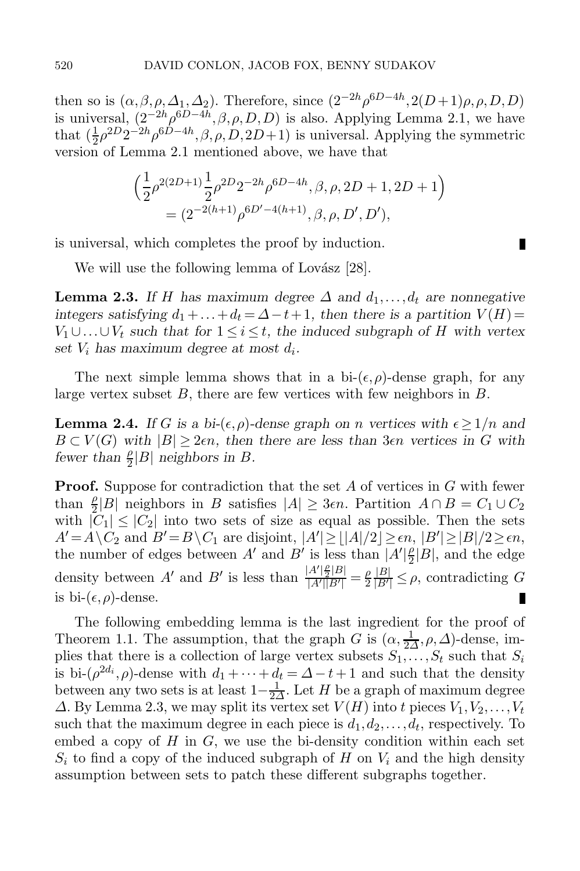then so is  $(\alpha, \beta, \rho, \Delta_1, \Delta_2)$ . Therefore, since  $(2^{-2h}\rho^{6D-4h}, 2(D+1)\rho, \rho, D, D)$  is universal,  $(2^{-2h}\rho^{6D-4h}, \beta, \rho, D, D)$  is also. Applying Lemma [2.1,](#page-5-0) we have that  $(\frac{1}{2}\rho^{2D}2^{-2h}\rho^{6D-4h}, \beta, \rho, D, 2D+1)$  is universal. Applying the symmetric version of Lemma 2.1 mentioned above, we have that version of Lemma [2.1](#page-5-0) mentioned above, we have that

$$
\left(\frac{1}{2}\rho^{2(2D+1)}\frac{1}{2}\rho^{2D}2^{-2h}\rho^{6D-4h}, \beta, \rho, 2D+1, 2D+1\right)
$$
  
=  $(2^{-2(h+1)}\rho^{6D'-4(h+1)}, \beta, \rho, D', D'),$ 

П

is universal, which completes the proof by induction.

<span id="page-7-0"></span>We will use the following lemma of Lovász  $|28|$ .

**Lemma 2.3.** If H has maximum degree  $\Delta$  and  $d_1, \ldots, d_t$  are nonnegative *integers satisfying*  $d_1 + \ldots + d_t = \Delta - t + 1$ *, then there is a partition*  $V(H)$  =  $V_1 \cup \ldots \cup V_t$  such that for  $1 \leq i \leq t$ , the induced subgraph of H with vertex set V, has maximum downs at most d. set  $V_i$  has maximum degree at most  $d_i$ .

<span id="page-7-1"></span>The next simple lemma shows that in a bi- $(\epsilon, \rho)$ -dense graph, for any large vertex subset  $B$ , there are few vertices with few neighbors in  $B$ .

**Lemma 2.4.** *If* G is a bi- $(\epsilon, \rho)$ -dense graph on n vertices with  $\epsilon \geq 1/n$  and  $B \subset V(G)$  with  $|B| \geq 2\epsilon n$ , then there are less than  $3\epsilon n$  vertices in G with *fewer than*  $\frac{\rho}{2}|B|$  *neighbors in B*.

**Proof.** Suppose for contradiction that the set A of vertices in G with fewer than  $\frac{\rho}{2} |B|$  neighbors in B satisfies  $|A| \geq 3\epsilon n$ . Partition  $A \cap B = C_1 \cup C_2$  with  $|C_1| < |C_2|$  into two sets of size as equal as possible. Then the sets with  $|C_1| \leq |C_2|$  into two sets of size as equal as possible. Then the sets  $A' = A \setminus C_2$  and  $B' = B \setminus C_1$  are disjoint,  $|A'| \ge |A|/2| \ge \epsilon n$ ,  $|B'| \ge |B|/2 \ge \epsilon n$ , the number of edges between  $A'$  and  $B'$  is less than  $|A'|^{\beta} |B|$  and the edges the number of edges between A' and B' is less than  $\overline{A'|\frac{e}{2}|B|}$ , and the edge density between A' and B' is less than  $\frac{|A'|^2 \leq |B|}{|A'||B'|} = \frac{\rho}{2} \frac{|B|}{|B'|}$  $\frac{|B|}{|B'|} \leq \rho$ , contradicting G is bi- $(\epsilon, \rho)$ -dense.

<span id="page-7-2"></span>The following embedding lemma is the last ingredient for the proof of Theorem [1.1.](#page-2-1) The assumption, that the graph G is  $(\alpha, \frac{1}{2\Delta}, \rho, \Delta)$ -dense, im-<br>plies that there is a collection of large vertex subsets  $S_1$ ,  $S_t$  such that  $S_i$ plies that there is a collection of large vertex subsets  $S_1, \ldots, S_t$  such that  $S_i$ is bi- $(\rho^{2d_i}, \rho)$ -dense with  $d_1 + \cdots + d_t = \Delta - t + 1$  and such that the density between any two sets is at least  $1-\frac{1}{2\Delta}$ . Let H be a graph of maximum degree <br>A By Lemma 2.3 we may split its vertex set  $V(H)$  into t pieces  $V_1$ ,  $V_2$ ,  $V_3$  $\Delta$ . By Lemma [2.3,](#page-7-0) we may split its vertex set  $V(H)$  into t pieces  $V_1, V_2, \ldots, V_t$ such that the maximum degree in each piece is  $d_1, d_2, \ldots, d_t$ , respectively. To embed a copy of  $H$  in  $G$ , we use the bi-density condition within each set  $S_i$  to find a copy of the induced subgraph of H on  $V_i$  and the high density assumption between sets to patch these different subgraphs together.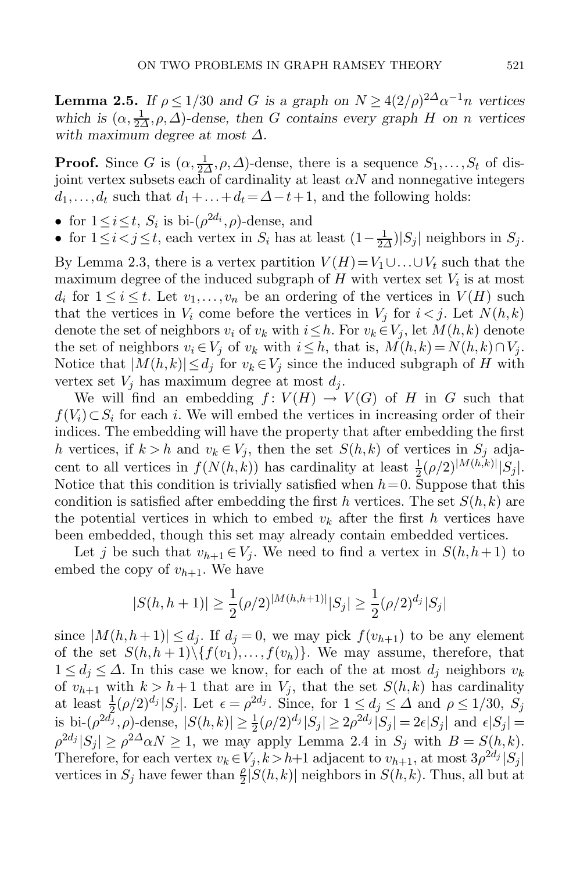**Lemma 2.5.** *If*  $\rho \leq 1/30$  *and G is a graph on*  $N \geq 4(2/\rho)^{2\Delta} \alpha^{-1} n$  *vertices which is*  $(\alpha, \frac{1}{2\Delta}, \rho, \Delta)$ -dense, then *G* contains every graph *H* on *n* vertices with maximum degree at most  $\Delta$ . *with maximum degree at most* Δ*.*

**Proof.** Since G is  $(\alpha, \frac{1}{2\Delta}, \rho, \Delta)$ -dense, there is a sequence  $S_1, \ldots, S_t$  of dis-<br>ioint vertex subsets each of cardinality at least  $\alpha N$  and nonnegative integers joint vertex subsets each of cardinality at least  $\alpha N$  and nonnegative integers  $d_1, \ldots, d_t$  such that  $d_1 + \ldots + d_t = \Delta - t + 1$ , and the following holds:

- for  $1 \leq i \leq t$ ,  $S_i$  is bi- $(\rho^{2d_i}, \rho)$ -dense, and
- for  $1 \leq i < j \leq t$ , each vertex in  $S_i$  has at least  $(1 \frac{1}{2\Delta})|S_j|$  neighbors in  $S_j$ .

By Lemma [2.3,](#page-7-0) there is a vertex partition  $V(H)=V_1\cup\ldots\cup V_t$  such that the maximum degree of the induced subgraph of H with vertex set  $V_i$  is at most  $d_i$  for  $1 \leq i \leq t$ . Let  $v_1, \ldots, v_n$  be an ordering of the vertices in  $V(H)$  such that the vertices in  $V_i$  come before the vertices in  $V_j$  for  $i < j$ . Let  $N(h, k)$ denote the set of neighbors  $v_i$  of  $v_k$  with  $i \leq h$ . For  $v_k \in V_j$ , let  $M(h, k)$  denote the set of neighbors  $v_i \in V_i$  of  $v_k$  with  $i \leq h$ , that is,  $M(h, k) = N(h, k) \cap V_i$ . Notice that  $|M(h, k)| \leq d_j$  for  $v_k \in V_j$  since the induced subgraph of H with vertex set  $V_j$  has maximum degree at most  $d_j$ .

We will find an embedding  $f: V(H) \to V(G)$  of H in G such that  $f(V_i) \subset S_i$  for each i. We will embed the vertices in increasing order of their indices. The embedding will have the property that after embedding the first h vertices, if  $k > h$  and  $v_k \in V_j$ , then the set  $S(h, k)$  of vertices in  $S_j$  adjacent to all vertices in  $f(N(h, k))$  has cardinality at least  $\frac{1}{2}(\rho/2)^{|M(h, k)|}|S_j|$ .<br>Notice that this condition is trivially satisfied when  $h=0$ . Suppose that this Notice that this condition is trivially satisfied when  $h = 0$ . Suppose that this condition is satisfied after embedding the first h vertices. The set  $S(h, k)$  are the potential vertices in which to embed  $v_k$  after the first h vertices have been embedded, though this set may already contain embedded vertices.

Let j be such that  $v_{h+1} \in V_i$ . We need to find a vertex in  $S(h, h+1)$  to embed the copy of  $v_{h+1}$ . We have

$$
|S(h, h + 1)| \ge \frac{1}{2} (\rho/2)^{|M(h, h + 1)|} |S_j| \ge \frac{1}{2} (\rho/2)^{d_j} |S_j|
$$

since  $|M(h, h+1)| \leq d_j$ . If  $d_j = 0$ , we may pick  $f(v_{h+1})$  to be any element of the set  $S(h, h + 1) \setminus \{f(v_1), \ldots, f(v_h)\}$ . We may assume, therefore, that  $1 \leq d_i \leq \Delta$ . In this case we know, for each of the at most  $d_i$  neighbors  $v_k$ of  $v_{h+1}$  with  $k > h+1$  that are in  $V_j$ , that the set  $S(h, k)$  has cardinality at least  $\frac{1}{2}(\rho/2)^{d_j}|S_j|$ . Let  $\epsilon = \rho^{2d_j}$ . Since, for  $1 \leq d_j \leq \Delta$  and  $\rho \leq 1/30$ ,  $S_j$ <br>is bi- $(\rho^{2d_j} - \rho)$ -dense  $|S(h, h)| > \frac{1}{2}(\rho/2)^{d_j}|S_j| > 2\rho^{2d_j}|S_j| - 2\epsilon|S_j|$  and  $\epsilon|S_j|$ is bi- $(\rho^{2d_j}, \rho)$ -dense,  $|S(h, k)| \geq \frac{1}{2} (\rho/2)^{d_j} |S_j| \geq 2\rho^{2d_j} |S_j| = 2\epsilon |S_j|$  and  $\epsilon |S_j| =$ <br> $\frac{\rho^{2d_j} |S_j|}{\rho^{2d_j} |S_j|} \geq \frac{2\Delta_0 N}{N} > 1$ , we may apply Lemma 2.4 in  $S_j$ , with  $R = S(h, k)$  $\rho^{2d_j} |S_j| \geq \rho^{2d} \alpha N \geq 1$ , we may apply Lemma [2.4](#page-7-1) in  $S_j$  with  $B = S(h, k)$ . Therefore, for each vertex  $v_k \in V_j, k>h+1$  adjacent to  $v_{h+1}$ , at most  $3\rho^{2d_j}|S_j|$ vertices in  $S_j$  have fewer than  $\frac{\rho}{2}|S(h,k)|$  neighbors in  $S(h,k)$ . Thus, all but at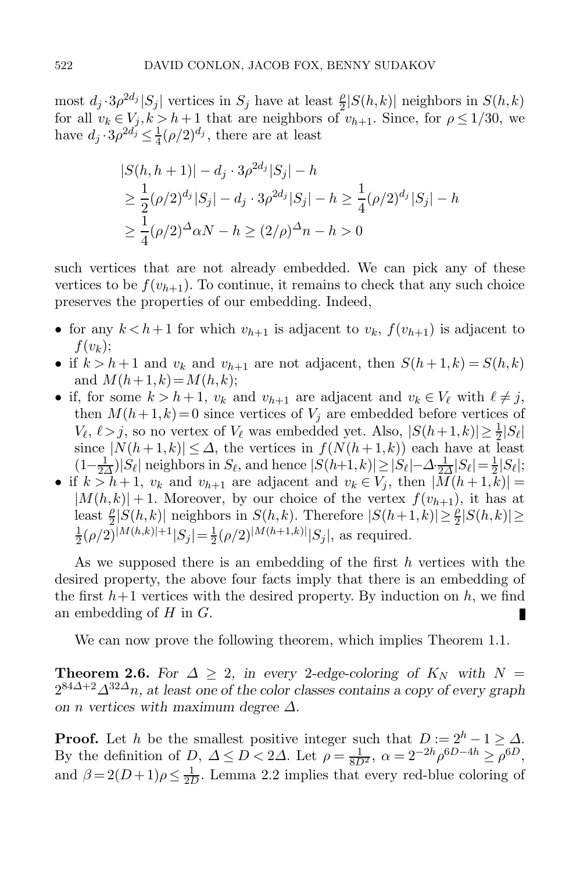most  $d_j \cdot 3\rho^{2d_j} |S_j|$  vertices in  $S_j$  have at least  $\frac{\rho}{2} |S(h, k)|$  neighbors in  $S(h, k)$  for all  $v_k \in V_i, k > h+1$  that are neighbors of  $v_{k+1}$ . Since, for  $\rho \le 1/30$ , we for all  $v_k \in V_j, k > h+1$  that are neighbors of  $v_{h+1}$ . Since, for  $\rho \leq 1/30$ , we have  $d_j \cdot 3\rho^{2d_j} \leq \frac{1}{4}(\rho/2)^{d_j}$ , there are at least

$$
|S(h, h + 1)| - d_j \cdot 3\rho^{2d_j} |S_j| - h
$$
  
\n
$$
\geq \frac{1}{2} (\rho/2)^{d_j} |S_j| - d_j \cdot 3\rho^{2d_j} |S_j| - h \geq \frac{1}{4} (\rho/2)^{d_j} |S_j| - h
$$
  
\n
$$
\geq \frac{1}{4} (\rho/2)^{\Delta} \alpha N - h \geq (2/\rho)^{\Delta} n - h > 0
$$

such vertices that are not already embedded. We can pick any of these vertices to be  $f(v_{h+1})$ . To continue, it remains to check that any such choice preserves the properties of our embedding. Indeed,

- for any  $k < h+1$  for which  $v_{h+1}$  is adjacent to  $v_k$ ,  $f(v_{h+1})$  is adjacent to  $f(v_k);$
- if  $k > h+1$  and  $v_k$  and  $v_{h+1}$  are not adjacent, then  $S(h+1, k) = S(h, k)$ and  $M(h+1, k) = M(h, k);$
- if, for some  $k > h + 1$ ,  $v_k$  and  $v_{h+1}$  are adjacent and  $v_k \in V_\ell$  with  $\ell \neq j$ , then  $M(h+1, k)=0$  since vertices of  $V_i$  are embedded before vertices of  $V_{\ell}$ ,  $\ell > j$ , so no vertex of  $V_{\ell}$  was embedded yet. Also,  $|S(h+1,k)| \geq \frac{1}{2}|S_{\ell}|$ <br>since  $|N(h+1,k)| < \Lambda$  the vertices in  $f(N(h+1,k))$  each have at least since  $|N(h+1,k)| \leq \Delta$ , the vertices in  $f(N(h+1,k))$  each have at least  $(1-\frac{1}{2\Delta})|S_\ell|$  neighbors in  $S_\ell$ , and hence  $|S(h+1,k)| \geq |S_\ell| - \Delta \frac{1}{2\Delta} |S_\ell| = \frac{1}{2}|S_\ell|;$ <br>f  $k > h+1$ ,  $v_k$  and  $v_{k+1}$  are adiacent and  $v_k \in V_i$ , then  $|M(h+1,k)| =$
- if  $k > h + 1$ ,  $v_k$  and  $v_{h+1}$  are adjacent and  $v_k \in V_i$ , then  $|M(h+1,k)| =$  $|M(h, k)| + 1$ . Moreover, by our choice of the vertex  $f(v_{h+1})$ , it has at  $\text{least } \frac{\rho}{2}|S(h,k)| \text{ neighbors in } S(h,k). \text{ Therefore } |S(h+1,k)| \geq \frac{\rho}{2}|S(h,k)| \geq \frac{1}{2}|S(h,k)| \geq \frac{1}{2}|S(h,k)| \geq \frac{1}{2}|S(h,k)| \geq \frac{1}{2}|S(h,k)| \geq \frac{1}{2}|S(h,k)| \geq \frac{1}{2}|S(h,k)| \geq \frac{1}{2}|S(h,k)| \geq \frac{1}{2}|S(h,k)| \geq \frac{1}{2}|S(h,k)| \geq \frac{1}{2}|S(h,k)| \geq \frac{1}{2}|S(h,k)| \geq \frac{1}{2}|S(h,k)|$  $\frac{1}{2}(\rho/2)^{|M(h,k)|+1}|S_j| = \frac{1}{2}(\rho/2)^{|M(h+1,k)|}|S_j|$ , as required.

As we supposed there is an embedding of the first  $h$  vertices with the desired property, the above four facts imply that there is an embedding of the first  $h+1$  vertices with the desired property. By induction on h, we find an embedding of  $H$  in  $G$ . П

We can now prove the following theorem, which implies Theorem [1.1.](#page-2-1)

**Theorem 2.6.** For  $\Delta \geq 2$ , in every 2-edge-coloring of  $K_N$  with  $N =$  $2^{84\Delta+2}\Delta^{32\Delta}n$ , at least one of the color classes contains a copy of every graph *on n* vertices with maximum degree  $\Delta$ .

**Proof.** Let h be the smallest positive integer such that  $D := 2<sup>h</sup> - 1 \ge \Delta$ . By the definition of D,  $\Delta \leq D < 2\Delta$ . Let  $\rho = \frac{1}{8D^2}$ ,  $\alpha = 2^{-2h} \rho^{6D-4h} \geq \rho^{6D}$ ,<br>and  $\beta = 2(D+1)\rho < \frac{1}{2}$ . Lemma 2.2 implies that every red-blue coloring of and  $\beta = 2(D+1)\rho \leq \frac{1}{2D}$ . Lemma [2.2](#page-6-0) implies that every red-blue coloring of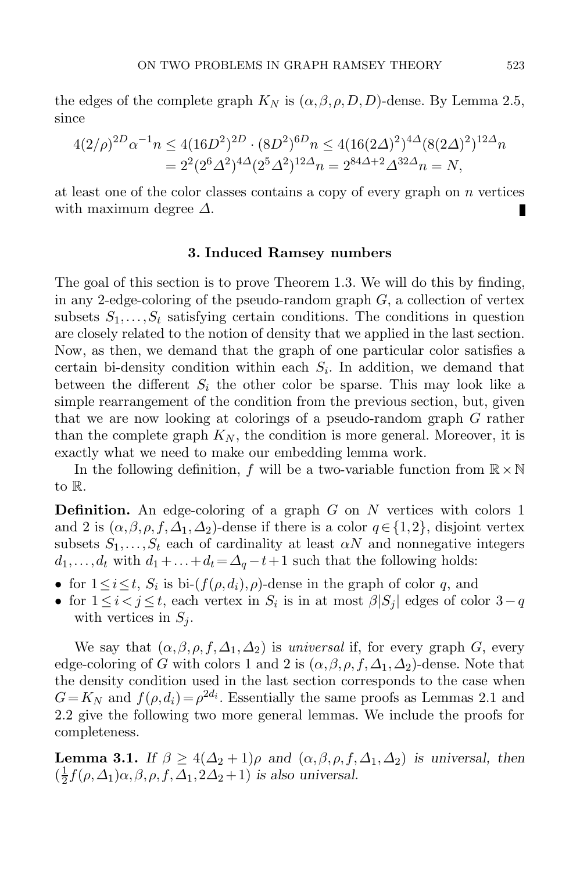the edges of the complete graph  $K_N$  is  $(\alpha, \beta, \rho, D, D)$ -dense. By Lemma [2.5,](#page-7-2) since

$$
4(2/\rho)^{2D} \alpha^{-1} n \le 4(16D^2)^{2D} \cdot (8D^2)^{6D} n \le 4(16(2\Delta)^2)^{4\Delta} (8(2\Delta)^2)^{12\Delta} n
$$
  
=  $2^2 (2^6 \Delta^2)^{4\Delta} (2^5 \Delta^2)^{12\Delta} n = 2^{84\Delta + 2} \Delta^{32\Delta} n = N,$ 

<span id="page-10-0"></span>at least one of the color classes contains a copy of every graph on  $n$  vertices with maximum degree  $\Delta$ .

#### **3. Induced Ramsey numbers**

The goal of this section is to prove Theorem [1.3.](#page-3-0) We will do this by finding, in any 2-edge-coloring of the pseudo-random graph  $G$ , a collection of vertex subsets  $S_1, \ldots, S_t$  satisfying certain conditions. The conditions in question are closely related to the notion of density that we applied in the last section. Now, as then, we demand that the graph of one particular color satisfies a certain bi-density condition within each  $S_i$ . In addition, we demand that between the different  $S_i$  the other color be sparse. This may look like a simple rearrangement of the condition from the previous section, but, given that we are now looking at colorings of a pseudo-random graph G rather than the complete graph  $K_N$ , the condition is more general. Moreover, it is exactly what we need to make our embedding lemma work.

In the following definition, f will be a two-variable function from  $\mathbb{R} \times \mathbb{N}$ to R.

**Definition.** An edge-coloring of a graph G on N vertices with colors 1 and 2 is  $(\alpha, \beta, \rho, f, \Delta_1, \Delta_2)$ -dense if there is a color  $q \in \{1,2\}$ , disjoint vertex subsets  $S_1, \ldots, S_t$  each of cardinality at least  $\alpha N$  and nonnegative integers  $d_1, \ldots, d_t$  with  $d_1 + \ldots + d_t = \Delta_q - t + 1$  such that the following holds:

- for  $1 \leq i \leq t$ ,  $S_i$  is bi- $(f(\rho, d_i), \rho)$ -dense in the graph of color q, and
- for  $1 \leq i < j \leq t$ , each vertex in  $S_i$  is in at most  $\beta |S_j|$  edges of color  $3-q$ with vertices in  $S_j$ .

We say that  $(\alpha, \beta, \rho, f, \Delta_1, \Delta_2)$  is *universal* if, for every graph G, every edge-coloring of G with colors 1 and 2 is  $(\alpha, \beta, \rho, f, \Delta_1, \Delta_2)$ -dense. Note that the density condition used in the last section corresponds to the case when  $G=K_N$  and  $f(\rho, d_i)=\rho^{2d_i}$ . Essentially the same proofs as Lemmas [2.1](#page-5-0) and [2.2](#page-6-0) give the following two more general lemmas. We include the proofs for completeness.

<span id="page-10-1"></span>**Lemma 3.1.** *If*  $\beta \geq 4(\Delta_2 + 1)\rho$  *and*  $(\alpha, \beta, \rho, f, \Delta_1, \Delta_2)$  *is universal, then*  $\left(\frac{1}{2}f(\rho,\Delta_1)\alpha,\beta,\rho,f,\Delta_1,2\Delta_2+1\right)$  *is also universal.*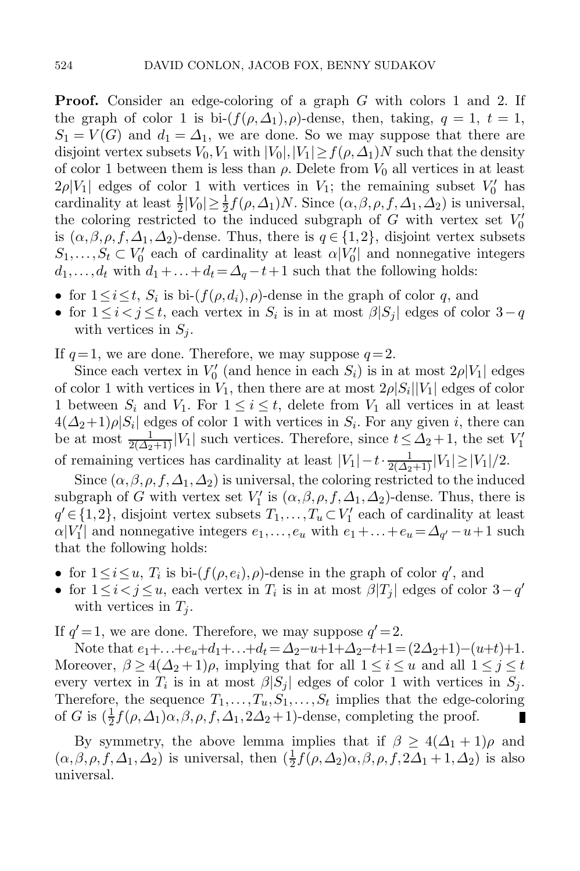**Proof.** Consider an edge-coloring of a graph G with colors 1 and 2. If the graph of color 1 is bi- $(f(\rho,\Delta_1),\rho)$ -dense, then, taking,  $q=1, t=1$ ,  $S_1 = V(G)$  and  $d_1 = \Delta_1$ , we are done. So we may suppose that there are disjoint vertex subsets  $V_2$ ,  $V_3$  with  $|V_4| \le |V_4| > f(a \Delta_1)N$  such that the density disjoint vertex subsets  $V_0, V_1$  with  $|V_0|, |V_1| \ge f(\rho, \Delta_1)N$  such that the density of color 1 between them is less than  $\rho$ . Delete from  $V_0$  all vertices in at least  $2\rho|V_1|$  edges of color 1 with vertices in  $V_1$ ; the remaining subset  $V'_0$  has cardinality at least  $\frac{1}{2}|V_0| > \frac{1}{2} f(\rho_0 A_1)N$ . Since  $(\rho_0 A_0 A_1 A_2)$  is universal cardinality at least  $\frac{1}{2}|V_0| \ge \frac{1}{2} f(\rho, \Delta_1)N$ . Since  $(\alpha, \beta, \rho, f, \Delta_1, \Delta_2)$  is universal, the coloring restricted to the induced subgraph of G with vertex set  $V'_0$ the coloring restricted to the induced subgraph of G with vertex set  $V_0'$ is  $(\alpha, \beta, \rho, f, \Delta_1, \Delta_2)$ -dense. Thus, there is  $q \in \{1,2\}$ , disjoint vertex subsets  $S_n \subset V'$  each of cardinality at least  $\alpha|V'|$  and nonperative integers  $S_1, \ldots, S_t \subset V'_0$  each of cardinality at least  $\alpha |V'_0|$  and nonnegative integers  $d_1, \ldots, d_t$  with  $d_1 + \cdots + d_t = \Lambda_t - t + 1$  such that the following holds:  $d_1, \ldots, d_t$  with  $d_1 + \ldots + d_t = \Delta_q - t + 1$  such that the following holds:

- for  $1 \leq i \leq t$ ,  $S_i$  is bi- $(f(\rho, d_i), \rho)$ -dense in the graph of color q, and
- for  $1 \leq i < j \leq t$ , each vertex in  $S_i$  is in at most  $\beta |S_j|$  edges of color  $3-q$ with vertices in  $S_i$ .

If  $q=1$ , we are done. Therefore, we may suppose  $q=2$ .

Since each vertex in  $V_0'$  (and hence in each  $S_i$ ) is in at most  $2\rho|V_1|$  edges of color 1 with vertices in  $V_1$  then there are at most  $2\rho|S_i||V_1|$  edges of color of color 1 with vertices in  $V_1$ , then there are at most  $2\rho|S_i||V_1|$  edges of color 1 between  $S_i$  and  $V_1$ . For  $1 \leq i \leq t$ , delete from  $V_1$  all vertices in at least  $4(\Delta_2+1)\rho|S_i|$  edges of color 1 with vertices in  $S_i$ . For any given i, there can be at most  $\frac{1}{2(\Delta_2+1)}|V_1|$  such vertices. Therefore, since  $t \leq \Delta_2+1$ , the set  $V_1'$ of remaining vertices has cardinality at least  $|V_1| - t \cdot \frac{1}{2(\Delta_2+1)} |V_1| \ge |V_1|/2$ .<br>Since  $(\alpha, \beta, \alpha, f, \Delta, \Delta_1)$  is universal, the coloring restricted to the induc-

Since  $(\alpha, \beta, \rho, f, \Delta_1, \Delta_2)$  is universal, the coloring restricted to the induced subgraph of G with vertex set  $V'_1$  is  $(\alpha, \beta, \rho, f, \Delta_1, \Delta_2)$ -dense. Thus, there is  $a' \in \{1, 2\}$  disjoint vertex subsets  $T_1$ ,  $T \subset V'_1$  each of cardinality at least  $q' \in \{1,2\}$ , disjoint vertex subsets  $T_1, \ldots, T_u \subset V'_1$  each of cardinality at least  $\alpha |V'|$  and ponnegative integers  $e_1$ ,  $e_2$  with  $e_1 + \cdots + e_u = \Lambda_{u} - u + 1$  such  $\alpha|V_1|$  and nonnegative integers  $e_1, \ldots, e_u$  with  $e_1 + \ldots + e_u = \Delta_{q'} - u + 1$  such that the following holds: that the following holds:

- for  $1 \leq i \leq u$ ,  $T_i$  is bi- $(f(\rho, e_i), \rho)$ -dense in the graph of color  $q'$ , and
- for  $1 \leq i < j \leq u$ , each vertex in  $T_i$  is in at most  $\beta |T_j|$  edges of color  $3-q'$ with vertices in  $T_i$ .

If  $q' = 1$ , we are done. Therefore, we may suppose  $q' = 2$ .

Note that  $e_1 + ... + e_u + d_1 + ... + d_t = \Delta_2 - u + 1 + \Delta_2 - t + 1 = (2\Delta_2 + 1) - (u+t) + 1$ . Moreover,  $\beta \geq 4(\Delta_2 + 1)\rho$ , implying that for all  $1 \leq i \leq u$  and all  $1 \leq j \leq t$ every vertex in  $T_i$  is in at most  $\beta |S_j|$  edges of color 1 with vertices in  $S_j$ . Therefore, the sequence  $T_1, \ldots, T_u, S_1, \ldots, S_t$  implies that the edge-coloring of G is  $(\frac{1}{2}f(\rho, \Delta_1)\alpha, \beta, \rho, f, \Delta_1, 2\Delta_2 + 1)$ -dense, completing the proof. of G is  $(\frac{1}{2}f(\rho,\Delta_1)\alpha,\beta,\rho,f,\Delta_1,2\Delta_2+1)$ -dense, completing the proof.

<span id="page-11-0"></span>By symmetry, the above lemma implies that if  $\beta \geq 4(\Delta_1 + 1)\rho$  and  $(\alpha, \beta, \rho, f, \Delta_1, \Delta_2)$  is universal, then  $(\frac{1}{2}f(\rho, \Delta_2)\alpha, \beta, \rho, f, 2\Delta_1 + 1, \Delta_2)$  is also universal universal.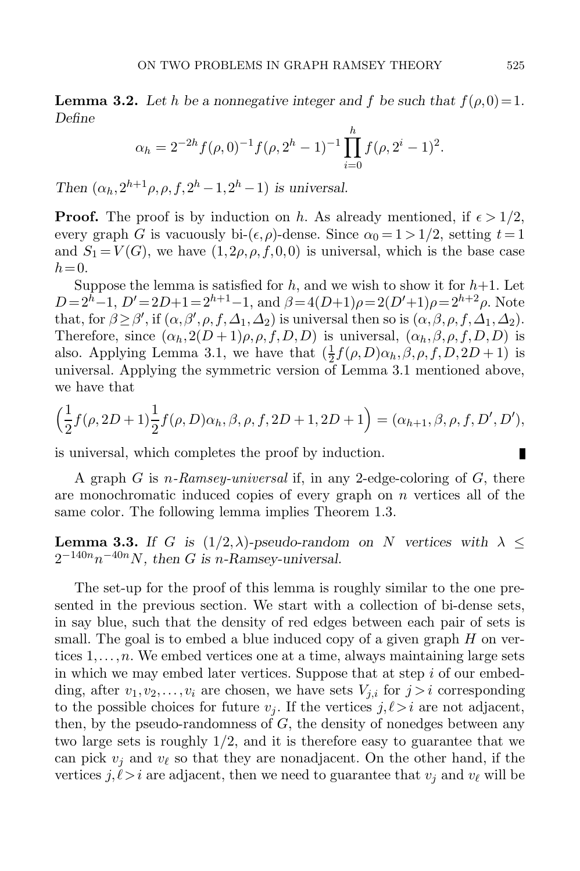**Lemma 3.2.** Let h be a nonnegative integer and f be such that  $f(\rho,0)=1$ . *Define*

$$
\alpha_h = 2^{-2h} f(\rho, 0)^{-1} f(\rho, 2^h - 1)^{-1} \prod_{i=0}^h f(\rho, 2^i - 1)^2.
$$

*Then*  $(\alpha_h, 2^{h+1} \rho, \rho, f, 2^h - 1, 2^h - 1)$  *is universal.* 

**Proof.** The proof is by induction on h. As already mentioned, if  $\epsilon > 1/2$ , every graph G is vacuously bi- $(\epsilon, \rho)$ -dense. Since  $\alpha_0 = 1 > 1/2$ , setting  $t = 1$ and  $S_1 = V(G)$ , we have  $(1, 2\rho, \rho, f, 0, 0)$  is universal, which is the base case  $h = 0$ .

Suppose the lemma is satisfied for  $h$ , and we wish to show it for  $h+1$ . Let  $D = 2<sup>h</sup> - 1$ ,  $D' = 2D + 1 = 2<sup>h+1</sup> - 1$ , and  $\beta = 4(D+1)\rho = 2(D'+1)\rho = 2<sup>h+2</sup>\rho$ . Note that, for  $\beta \geq \beta'$ , if  $(\alpha, \beta', \rho, f, \Delta_1, \Delta_2)$  is universal then so is  $(\alpha, \beta, \rho, f, \Delta_1, \Delta_2)$ .<br>Therefore, since  $(\alpha, 2(D+1)e, \rho, f, D, D)$  is universal  $(\alpha, \beta, \rho, f, D, D)$  is Therefore, since  $(\alpha_h, 2(D+1)\rho, \rho, f, D, D)$  is universal,  $(\alpha_h, \beta, \rho, f, D, D)$  is also. Applying Lemma [3.1,](#page-10-1) we have that  $(\frac{1}{2}f(\rho,D)\alpha_h,\beta,\rho,f,D,2D+1)$  is<br>universal. Applying the symmetric version of Lemma 3.1 mentioned above. universal. Applying the symmetric version of Lemma [3.1](#page-10-1) mentioned above, we have that

$$
\left(\frac{1}{2}f(\rho, 2D+1)\frac{1}{2}f(\rho, D)\alpha_h, \beta, \rho, f, 2D+1, 2D+1\right) = (\alpha_{h+1}, \beta, \rho, f, D', D'),
$$

is universal, which completes the proof by induction.

A graph G is n*-Ramsey-universal* if, in any 2-edge-coloring of G, there are monochromatic induced copies of every graph on  $n$  vertices all of the same color. The following lemma implies Theorem [1.3.](#page-3-0)

<span id="page-12-0"></span>**Lemma 3.3.** If G is  $(1/2, \lambda)$ -pseudo-random on N vertices with  $\lambda \leq$  $2^{-140n}n^{-40n}N$ , then G is n-Ramsey-universal.

The set-up for the proof of this lemma is roughly similar to the one presented in the previous section. We start with a collection of bi-dense sets, in say blue, such that the density of red edges between each pair of sets is small. The goal is to embed a blue induced copy of a given graph  $H$  on vertices  $1, \ldots, n$ . We embed vertices one at a time, always maintaining large sets in which we may embed later vertices. Suppose that at step  $i$  of our embedding, after  $v_1, v_2, \ldots, v_i$  are chosen, we have sets  $V_{j,i}$  for  $j>i$  corresponding to the possible choices for future  $v_j$ . If the vertices  $j, l > i$  are not adjacent, then, by the pseudo-randomness of  $G$ , the density of nonedges between any two large sets is roughly 1/2, and it is therefore easy to guarantee that we can pick  $v_i$  and  $v_\ell$  so that they are nonadjacent. On the other hand, if the vertices  $j, \ell > i$  are adjacent, then we need to guarantee that  $v_j$  and  $v_\ell$  will be

Ш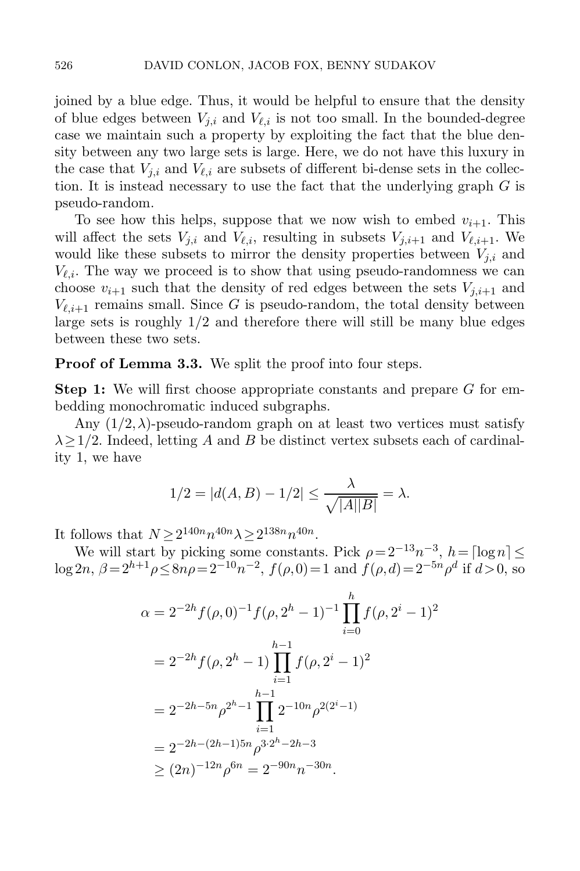joined by a blue edge. Thus, it would be helpful to ensure that the density of blue edges between  $V_{i,i}$  and  $V_{\ell,i}$  is not too small. In the bounded-degree case we maintain such a property by exploiting the fact that the blue density between any two large sets is large. Here, we do not have this luxury in the case that  $V_{i,i}$  and  $V_{\ell,i}$  are subsets of different bi-dense sets in the collection. It is instead necessary to use the fact that the underlying graph  $G$  is pseudo-random.

To see how this helps, suppose that we now wish to embed  $v_{i+1}$ . This will affect the sets  $V_{j,i}$  and  $V_{\ell,i}$ , resulting in subsets  $V_{j,i+1}$  and  $V_{\ell,i+1}$ . We would like these subsets to mirror the density properties between  $V_{j,i}$  and  $V_{\ell,i}$ . The way we proceed is to show that using pseudo-randomness we can choose  $v_{i+1}$  such that the density of red edges between the sets  $V_{j,i+1}$  and  $V_{\ell,i+1}$  remains small. Since G is pseudo-random, the total density between large sets is roughly  $1/2$  and therefore there will still be many blue edges between these two sets.

#### **Proof of Lemma [3.3.](#page-12-0)** We split the proof into four steps.

**Step 1:** We will first choose appropriate constants and prepare G for embedding monochromatic induced subgraphs.

Any  $(1/2, \lambda)$ -pseudo-random graph on at least two vertices must satisfy  $\lambda \geq 1/2$ . Indeed, letting A and B be distinct vertex subsets each of cardinality 1, we have

$$
1/2 = |d(A, B) - 1/2| \le \frac{\lambda}{\sqrt{|A||B|}} = \lambda.
$$

It follows that  $N > 2^{140n} n^{40n} \lambda > 2^{138n} n^{40n}$ .

We will start by picking some constants. Pick  $\rho = 2^{-13}n^{-3}$ ,  $h = \lceil \log n \rceil \leq$  $\log 2n$ ,  $\beta = 2^{h+1} \rho \leq 8n\rho = 2^{-10} n^{-2}$ ,  $f(\rho, 0) = 1$  and  $f(\rho, d) = 2^{-5n} \rho^d$  if  $d > 0$ , so

$$
\alpha = 2^{-2h} f(\rho, 0)^{-1} f(\rho, 2^h - 1)^{-1} \prod_{i=0}^h f(\rho, 2^i - 1)^2
$$
  
=  $2^{-2h} f(\rho, 2^h - 1) \prod_{i=1}^{h-1} f(\rho, 2^i - 1)^2$   
=  $2^{-2h - 5n} \rho^{2^h - 1} \prod_{i=1}^{h-1} 2^{-10n} \rho^{2(2^i - 1)}$   
=  $2^{-2h - (2h - 1)5n} \rho^{3 \cdot 2^h - 2h - 3}$   
 $\geq (2n)^{-12n} \rho^{6n} = 2^{-90n} n^{-30n}.$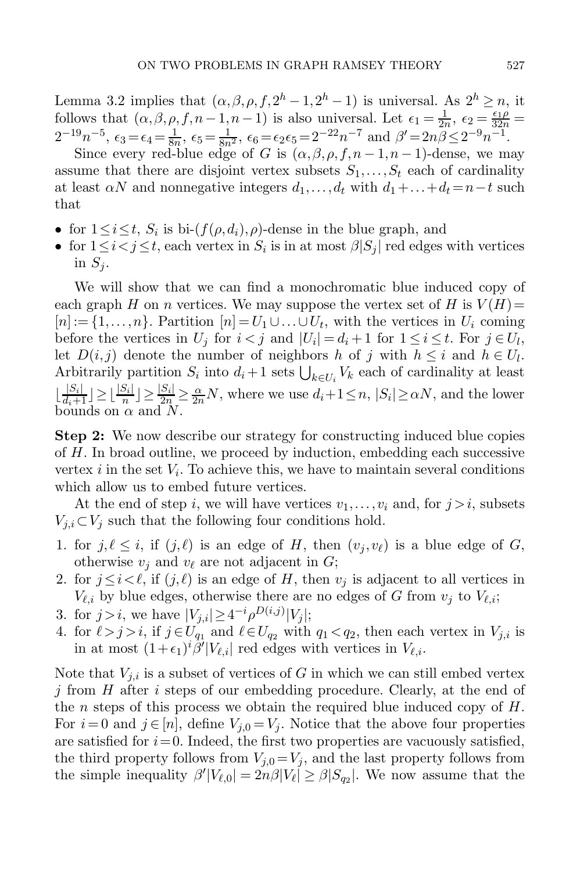Lemma [3.2](#page-11-0) implies that  $(\alpha, \beta, \rho, f, 2^h - 1, 2^h - 1)$  is universal. As  $2^h \ge n$ , it follows that  $(\alpha, \beta, \rho, f, n-1, n-1)$  is also universal. Let  $\epsilon_1 = \frac{1}{2n}$ ,  $\epsilon_2 = \frac{\epsilon_1 \rho}{32n} = 2^{-19}n^{-5}$   $\epsilon_3 = \epsilon_4 = \frac{1}{2n}$ ,  $\epsilon_5 = \frac{1}{2n}$ ,  $\epsilon_6 = \epsilon_6 = 2^{-22}n^{-7}$  and  $\beta' = 2n\beta \leq 2^{-9}n^{-1}$ 2<sup>-19</sup>n<sup>-5</sup>,  $\epsilon_3 = \epsilon_4 = \frac{1}{8n}$ ,  $\epsilon_5 = \frac{1}{8n^2}$ ,  $\epsilon_6 = \epsilon_2 \epsilon_5 = 2^{-22} n^{-7}$  and  $\beta' = 2n\beta \le 2^{-9} n^{-1}$ .<br>Since every red-blue edge of G is  $(\alpha, \beta, \rho, f, n - 1, n - 1)$ -dense, we may

assume that there are disjoint vertex subsets  $S_1, \ldots, S_t$  each of cardinality at least  $\alpha N$  and nonnegative integers  $d_1, \ldots, d_t$  with  $d_1 + \ldots + d_t = n-t$  such that

- for  $1 \leq i \leq t$ ,  $S_i$  is bi- $(f(\rho, d_i), \rho)$ -dense in the blue graph, and
- for  $1 \leq i < j \leq t$ , each vertex in  $S_i$  is in at most  $\beta |S_j|$  red edges with vertices in  $S_i$ .

We will show that we can find a monochromatic blue induced copy of each graph H on n vertices. We may suppose the vertex set of H is  $V(H)$  =  $[n] := \{1, \ldots, n\}$ . Partition  $[n] = U_1 \cup \ldots \cup U_t$ , with the vertices in  $U_i$  coming before the vertices in  $U_j$  for  $i < j$  and  $|U_i| = d_i + 1$  for  $1 \le i \le t$ . For  $j \in U_l$ , let  $D(i, j)$  denote the number of neighbors h of j with  $h \leq i$  and  $h \in U_l$ . Arbitrarily partition  $S_i$  into  $d_i + 1$  sets  $\bigcup_{k \in U_i} V_k$  each of cardinality at least  $\lfloor \frac{|S_i|}{d_i+1} \rfloor \ge \lfloor \frac{|S_i|}{n} \rfloor \ge \frac{|S_i|}{2n} \ge \frac{\alpha}{2n}N$ , where we use  $d_i+1 \le n, |S_i| \ge \alpha N$ , and the lower bounds on  $\alpha$  and  $N$ .

**Step 2:** We now describe our strategy for constructing induced blue copies of H. In broad outline, we proceed by induction, embedding each successive vertex i in the set  $V_i$ . To achieve this, we have to maintain several conditions which allow us to embed future vertices.

At the end of step i, we will have vertices  $v_1, \ldots, v_i$  and, for  $j > i$ , subsets  $V_{j,i} \subset V_j$  such that the following four conditions hold.

- 1. for  $j, \ell \leq i$ , if  $(j, \ell)$  is an edge of H, then  $(v_i, v_{\ell})$  is a blue edge of G, otherwise  $v_j$  and  $v_\ell$  are not adjacent in G;
- 2. for  $j \leq i \leq \ell$ , if  $(j,\ell)$  is an edge of H, then  $v_j$  is adjacent to all vertices in  $V_{\ell,i}$  by blue edges, otherwise there are no edges of G from  $v_i$  to  $V_{\ell,i}$ ;
- 3. for  $j > i$ , we have  $|V_{j,i}| \geq 4^{-i} \rho^{D(i,j)} |V_j|$ ;
- 4. for  $\ell > j > i$ , if  $j \in U_{q_1}$  and  $\ell \in U_{q_2}$  with  $q_1 < q_2$ , then each vertex in  $V_{j,i}$  is in at most  $(1 + \epsilon)^{i} \frac{\partial^j |V_{j,i}|}{\partial x^j}$  rod odges with vertices in  $V_{j,i}$ in at most  $(1+\epsilon_1)^i \overrightarrow{\beta'} |V_{\ell,i}|$  red edges with vertices in  $V_{\ell,i}$ .

Note that  $V_{i,i}$  is a subset of vertices of G in which we can still embed vertex j from H after i steps of our embedding procedure. Clearly, at the end of the n steps of this process we obtain the required blue induced copy of  $H$ . For  $i=0$  and  $j \in [n]$ , define  $V_{i,0} = V_i$ . Notice that the above four properties are satisfied for  $i=0$ . Indeed, the first two properties are vacuously satisfied, the third property follows from  $V_{i,0}=V_i$ , and the last property follows from the simple inequality  $\beta'|V_{\ell,0}| = 2n\beta|V_{\ell}| \geq \beta|S_{q_2}|$ . We now assume that the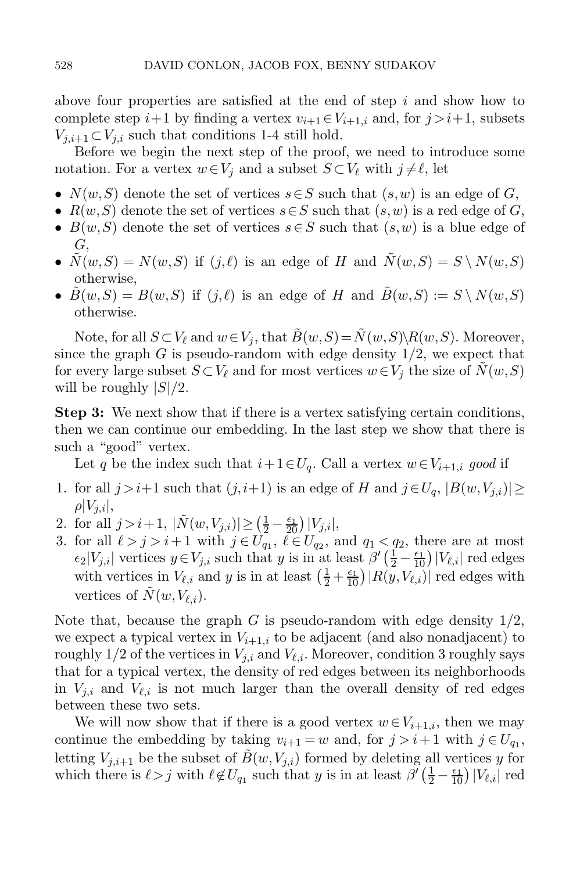above four properties are satisfied at the end of step  $i$  and show how to complete step  $i+1$  by finding a vertex  $v_{i+1} \in V_{i+1,i}$  and, for  $j>i+1$ , subsets  $V_{i,i+1} \subset V_{i,i}$  such that conditions 1-4 still hold.

Before we begin the next step of the proof, we need to introduce some notation. For a vertex  $w \in V_j$  and a subset  $S \subset V_\ell$  with  $j \neq \ell$ , let

- $N(w, S)$  denote the set of vertices  $s \in S$  such that  $(s, w)$  is an edge of G,
- $R(w, S)$  denote the set of vertices  $s \in S$  such that  $(s, w)$  is a red edge of G,
- $B(w, S)$  denote the set of vertices  $s \in S$  such that  $(s, w)$  is a blue edge of G,
- $\tilde{N}(w, S) = N(w, S)$  if  $(j, \ell)$  is an edge of H and  $\tilde{N}(w, S) = S \setminus N(w, S)$ otherwise,
- $B(w, S) = B(w, S)$  if  $(j, \ell)$  is an edge of H and  $\tilde{B}(w, S) := S \setminus N(w, S)$ otherwise.

Note, for all  $S \subset V_\ell$  and  $w \in V_j$ , that  $\tilde{B}(w,S) = \tilde{N}(w,S) \backslash R(w,S)$ . Moreover, since the graph  $G$  is pseudo-random with edge density  $1/2$ , we expect that for every large subset  $S \subset V_\ell$  and for most vertices  $w \in V_j$  the size of  $\tilde{N}(w, S)$ will be roughly  $|S|/2$ .

**Step 3:** We next show that if there is a vertex satisfying certain conditions, then we can continue our embedding. In the last step we show that there is such a "good" vertex.

Let q be the index such that  $i+1 \in U_q$ . Call a vertex  $w \in V_{i+1,i}$  good if

- 1. for all  $j>i+1$  such that  $(j, i+1)$  is an edge of H and  $j \in U_q$ ,  $|B(w, V_{j,i})| \ge$  $\rho|V_{i,i}|,$
- 2. for all  $j > i+1$ ,  $|\tilde{N}(w, V_{j,i})| \geq (\frac{1}{2} \frac{\epsilon_1}{20}) |V_{j,i}|$ ,<br>3. for all  $\ell > i > i+1$  with  $i \in U_{\infty}$ ,  $\ell \in U_{\infty}$ ,  $\varepsilon$
- 3. for all  $\ell > j > i+1$  with  $j \in U_{q_1}$ ,  $\ell \in U_{q_2}$ , and  $q_1 < q_2$ , there are at most  $\epsilon$ - $V_{\ell}$ , writing  $V_{\ell}$ , such that  $\ell$  is in at loset  $\beta'(\ell_1 \epsilon_1) |V_{\ell}|\$  red edges  $\epsilon_2|V_{j,i}|$  vertices  $y \in V_{j,i}$  such that y is in at least  $\beta'(\frac{1}{2} - \frac{\epsilon_1}{10})|V_{\ell,i}|$  red edges<br>with vertices in  $V_{\ell,i}$  and y is in at least  $(\frac{1}{2} + \frac{\epsilon_1}{10})|R(y,V_{\ell,i})|$  red edges with with vertices in  $V_{\ell,i}$  and y is in at least  $\left(\frac{1}{2} + \frac{\epsilon_1}{10}\right) |R(y, V_{\ell,i})|$  red edges with vertices of  $\overline{N}(w,V_{\ell,i}).$

Note that, because the graph G is pseudo-random with edge density  $1/2$ , we expect a typical vertex in  $V_{i+1,i}$  to be adjacent (and also nonadjacent) to roughly 1/2 of the vertices in  $V_{i,i}$  and  $V_{\ell,i}$ . Moreover, condition 3 roughly says that for a typical vertex, the density of red edges between its neighborhoods in  $V_{j,i}$  and  $V_{\ell,i}$  is not much larger than the overall density of red edges between these two sets.

We will now show that if there is a good vertex  $w \in V_{i+1,i}$ , then we may continue the embedding by taking  $v_{i+1} = w$  and, for  $j > i+1$  with  $j \in U_{q_1}$ , letting  $V_{i,i+1}$  be the subset of  $B(w,V_{i,i})$  formed by deleting all vertices y for which there is  $\ell > j$  with  $\ell \notin U_{q_1}$  such that y is in at least  $\beta'(\frac{1}{2} - \frac{\epsilon_1}{10}) |V_{\ell,i}|$  red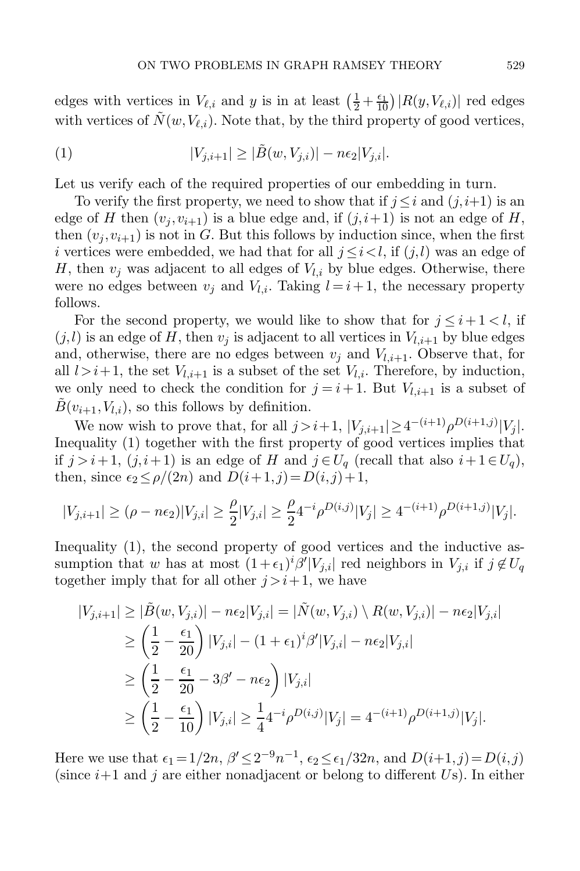edges with vertices in  $V_{\ell,i}$  and y is in at least  $\left(\frac{1}{2} + \frac{\epsilon_1}{10}\right)|R(y, V_{\ell,i})|$  red edges<br>with vertices of  $\tilde{N}(y, V_{\ell,i})$ . Note that, by the third property of good vertices with vertices of  $\tilde{N}(w,V_{\ell,i})$ . Note that, by the third property of good vertices,

<span id="page-16-0"></span>(1) 
$$
|V_{j,i+1}| \geq |\tilde{B}(w,V_{j,i})| - n\epsilon_2|V_{j,i}|.
$$

Let us verify each of the required properties of our embedding in turn.

To verify the first property, we need to show that if  $j \leq i$  and  $(j, i+1)$  is an edge of H then  $(v_i, v_{i+1})$  is a blue edge and, if  $(j, i+1)$  is not an edge of H, then  $(v_i, v_{i+1})$  is not in G. But this follows by induction since, when the first i vertices were embedded, we had that for all  $j \leq i < l$ , if  $(j, l)$  was an edge of H, then  $v_i$  was adjacent to all edges of  $V_{l,i}$  by blue edges. Otherwise, there were no edges between  $v_i$  and  $V_{l,i}$ . Taking  $l = i + 1$ , the necessary property follows.

For the second property, we would like to show that for  $j \leq i+1 < l$ , if  $(j, l)$  is an edge of H, then  $v_i$  is adjacent to all vertices in  $V_{l,i+1}$  by blue edges and, otherwise, there are no edges between  $v_i$  and  $V_{l,i+1}$ . Observe that, for all  $l>i+1$ , the set  $V_{l,i+1}$  is a subset of the set  $V_{l,i}$ . Therefore, by induction, we only need to check the condition for  $j = i + 1$ . But  $V_{l,i+1}$  is a subset of  $B(v_{i+1},V_{l,i})$ , so this follows by definition.

We now wish to prove that, for all  $j>i+1$ ,  $|V_{j,i+1}| \geq 4^{-(i+1)} \rho^{D(i+1,j)} |V_j|$ . Inequality [\(1\)](#page-16-0) together with the first property of good vertices implies that if  $j>i+1$ ,  $(j, i+1)$  is an edge of H and  $j \in U_q$  (recall that also  $i+1 \in U_q$ ), then, since  $\epsilon_2 \leq \rho/(2n)$  and  $D(i+1, j) = D(i, j)+1$ ,

$$
|V_{j,i+1}| \geq (\rho-n\epsilon_2)|V_{j,i}| \geq \frac{\rho}{2}|V_{j,i}| \geq \frac{\rho}{2} 4^{-i} \rho^{D(i,j)} |V_j| \geq 4^{-(i+1)} \rho^{D(i+1,j)} |V_j|.
$$

Inequality [\(1\)](#page-16-0), the second property of good vertices and the inductive assumption that w has at most  $(1+\epsilon_1)^i \beta' |V_{j,i}|$  red neighbors in  $V_{j,i}$  if  $j \notin U_q$ together imply that for all other  $i>i+1$ , we have

$$
|V_{j,i+1}| \ge |\tilde{B}(w, V_{j,i})| - n\epsilon_2 |V_{j,i}| = |\tilde{N}(w, V_{j,i}) \setminus R(w, V_{j,i})| - n\epsilon_2 |V_{j,i}|
$$
  
\n
$$
\ge \left(\frac{1}{2} - \frac{\epsilon_1}{20}\right) |V_{j,i}| - (1 + \epsilon_1)^i \beta' |V_{j,i}| - n\epsilon_2 |V_{j,i}|
$$
  
\n
$$
\ge \left(\frac{1}{2} - \frac{\epsilon_1}{20} - 3\beta' - n\epsilon_2\right) |V_{j,i}|
$$
  
\n
$$
\ge \left(\frac{1}{2} - \frac{\epsilon_1}{10}\right) |V_{j,i}| \ge \frac{1}{4} 4^{-i} \rho^{D(i,j)} |V_j| = 4^{-(i+1)} \rho^{D(i+1,j)} |V_j|.
$$

Here we use that  $\epsilon_1 = 1/2n$ ,  $\beta' \leq 2^{-9}n^{-1}$ ,  $\epsilon_2 \leq \epsilon_1/32n$ , and  $D(i+1, j) = D(i, j)$ (since  $i+1$  and j are either nonadjacent or belong to different Us). In either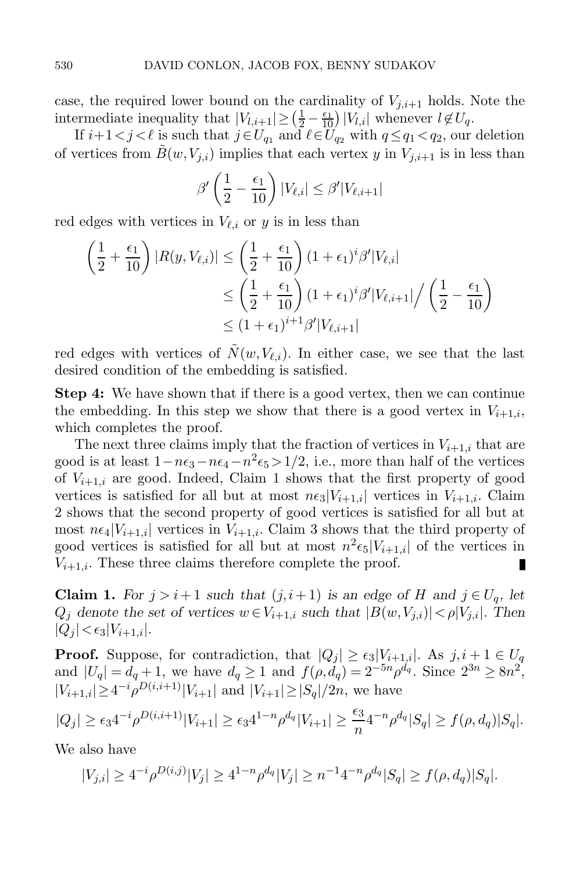case, the required lower bound on the cardinality of  $V_{j,i+1}$  holds. Note the intermediate inequality that  $|V_{l,i+1}| \geq \left(\frac{1}{2} - \frac{\epsilon_1}{10}\right)|V_{l,i}|$  whenever  $l \notin U_q$ .<br>If  $i+1 < j < l$  is such that  $j \in U_q$ , and  $l \in U_q$ , with  $q \leq q_1 < q_2$ , our

If  $i+1 < j < \ell$  is such that  $j \in U_{q_1}$  and  $\ell \in U_{q_2}$  with  $q \leq q_1 < q_2$ , our deletion<br>ratios from  $\tilde{P}(w, V_1)$  implies that each venter  $w$  in  $V_1$  is in less than of vertices from  $B(w,V_{j,i})$  implies that each vertex y in  $V_{j,i+1}$  is in less than

$$
\beta' \left(\frac{1}{2} - \frac{\epsilon_1}{10}\right) |V_{\ell,i}| \le \beta' |V_{\ell,i+1}|
$$

red edges with vertices in  $V_{\ell,i}$  or y is in less than

$$
\left(\frac{1}{2} + \frac{\epsilon_1}{10}\right)|R(y, V_{\ell,i})| \le \left(\frac{1}{2} + \frac{\epsilon_1}{10}\right)(1 + \epsilon_1)^i \beta' |V_{\ell,i}|
$$
  
\n
$$
\le \left(\frac{1}{2} + \frac{\epsilon_1}{10}\right)(1 + \epsilon_1)^i \beta' |V_{\ell,i+1}| / \left(\frac{1}{2} - \frac{\epsilon_1}{10}\right)
$$
  
\n
$$
\le (1 + \epsilon_1)^{i+1} \beta' |V_{\ell,i+1}|
$$

red edges with vertices of  $\tilde{N}(w,V_{\ell,i})$ . In either case, we see that the last desired condition of the embedding is satisfied.

**Step 4:** We have shown that if there is a good vertex, then we can continue the embedding. In this step we show that there is a good vertex in  $V_{i+1,i}$ , which completes the proof.

The next three claims imply that the fraction of vertices in  $V_{i+1,i}$  that are good is at least  $1-n\epsilon_3-n\epsilon_4-n^2\epsilon_5>1/2$ , i.e., more than half of the vertices of  $V_{i+1,i}$  are good. Indeed, Claim [1](#page-17-0) shows that the first property of good vertices is satisfied for all but at most  $n\epsilon_3|V_{i+1,i}|$  vertices in  $V_{i+1,i}$ . Claim [2](#page-18-0) shows that the second property of good vertices is satisfied for all but at most  $n\epsilon_4|V_{i+1,i}|$  vertices in  $V_{i+1,i}$ . Claim 3 shows that the third property of good vertices is satisfied for all but at most  $n^2 \epsilon_5|V_{i+1,i}|$  of the vertices in  $V_{i+1,i}$ . These three claims therefore complete the proof.  $V_{i+1,i}$ . These three claims therefore complete the proof.

<span id="page-17-0"></span>**Claim 1.** *For*  $j > i+1$  *such that*  $(j, i+1)$  *is an edge of* H *and*  $j \in U_q$ *, let*  $Q_i$  denote the set of vertices  $w \in V_{i+1,i}$  such that  $|B(w,V_{j,i})| < \rho |V_{j,i}|$ . Then  $|Q_i| < \epsilon_3 |V_{i+1,i}|.$ 

**Proof.** Suppose, for contradiction, that  $|Q_j| \ge \epsilon_3 |V_{i+1,i}|$ . As  $j, i+1 \in U_q$  and  $|U_q| = d_q + 1$ , we have  $d_q \ge 1$  and  $f(\rho, d_q) = 2^{-5n} \rho^{d_q}$ . Since  $2^{3n} \ge 8n^2$ ,  $|V_{i+1,i}| \geq 4^{-i} \rho^{D(i,i+1)} |V_{i+1}|$  and  $|V_{i+1}| \geq |S_q|/2n$ , we have

$$
|Q_j| \ge \epsilon_3 4^{-i} \rho^{D(i,i+1)} |V_{i+1}| \ge \epsilon_3 4^{1-n} \rho^{d_q} |V_{i+1}| \ge \frac{\epsilon_3}{n} 4^{-n} \rho^{d_q} |S_q| \ge f(\rho, d_q) |S_q|.
$$

We also have

$$
|V_{j,i}| \ge 4^{-i} \rho^{D(i,j)} |V_j| \ge 4^{1-n} \rho^{d_q} |V_j| \ge n^{-1} 4^{-n} \rho^{d_q} |S_q| \ge f(\rho, d_q) |S_q|.
$$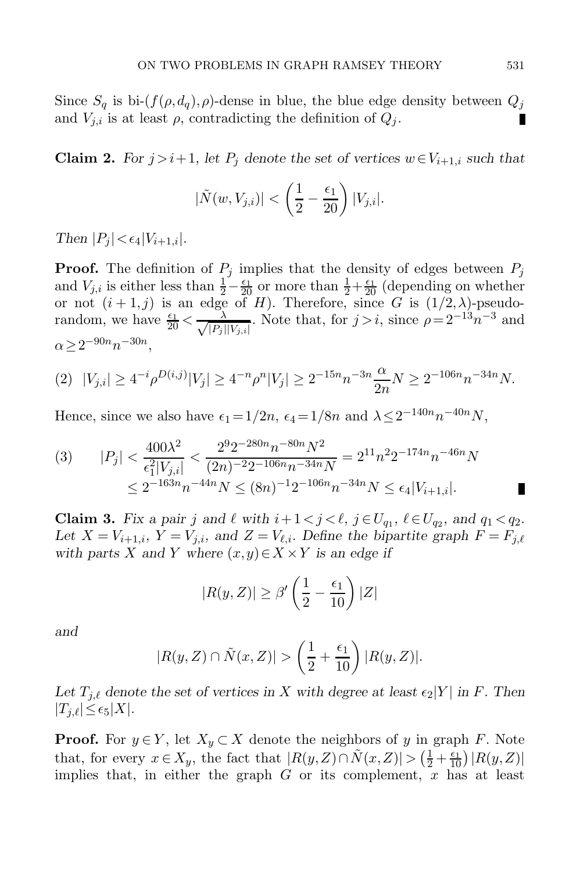<span id="page-18-0"></span>Since  $S_q$  is bi- $(f(\rho, d_q), \rho)$ -dense in blue, the blue edge density between  $Q_j$ and  $V_{j,i}$  is at least  $\rho$ , contradicting the definition of  $Q_j$ .

**Claim 2.** *For*  $j>i+1$ *, let*  $P_j$  *denote the set of vertices*  $w \in V_{i+1,i}$  *such that* 

$$
|\tilde{N}(w, V_{j,i})| < \left(\frac{1}{2} - \frac{\epsilon_1}{20}\right)|V_{j,i}|.
$$

*Then*  $|P_i| < \epsilon_4 |V_{i+1,i}|$ *.* 

**Proof.** The definition of  $P_j$  implies that the density of edges between  $P_j$ and  $V_{j,i}$  is either less than  $\frac{1}{2} - \frac{\epsilon_1}{20}$  or more than  $\frac{1}{2} + \frac{\epsilon_1}{20}$  (depending on whether<br>or not  $(i + 1, i)$  is an edge of H). Therefore, since G is  $(1/2, \lambda)$ -pseudoor not  $(i + 1, j)$  is an edge of H). Therefore, since G is  $(1/2, \lambda)$ -pseudorandom, we have  $\frac{\epsilon_1}{20} < \frac{\lambda}{\sqrt{|P_j|}}$  $\frac{\lambda}{|P_j||V_{j,i}|}$ . Note that, for  $j>i$ , since  $\rho = 2^{-13}n^{-3}$  and  $\alpha \geq 2^{-90n} n^{-30n}$ .

<span id="page-18-1"></span>
$$
(2) \ \ |V_{j,i}| \ge 4^{-i} \rho^{D(i,j)} |V_j| \ge 4^{-n} \rho^n |V_j| \ge 2^{-15n} n^{-3n} \frac{\alpha}{2n} N \ge 2^{-106n} n^{-34n} N.
$$

Hence, since we also have  $\epsilon_1 = 1/2n$ ,  $\epsilon_4 = 1/8n$  and  $\lambda \leq 2^{-140n}n^{-40n}N$ ,

<span id="page-18-2"></span>
$$
(3) \qquad |P_j| < \frac{400\lambda^2}{\epsilon_1^2 |V_{j,i}|} < \frac{2^9 2^{-280n} n^{-80n} N^2}{(2n)^{-2} 2^{-106n} n^{-34n} N} = 2^{11} n^2 2^{-174n} n^{-46n} N
$$
\n
$$
\leq 2^{-163n} n^{-44n} N \leq (8n)^{-1} 2^{-106n} n^{-34n} N \leq \epsilon_4 |V_{i+1,i}|.
$$

**Claim 3.** Fix a pair j and  $\ell$  with  $i+1 < j < \ell$ ,  $j \in U_q$ ,  $\ell \in U_q$ , and  $q_1 < q_2$ .<br> *Let*  $X = V_{i+1}$ ,  $Y = V_{i+1}$  and  $Z = V_{i+1}$ . Define the binaritie graph  $F = F_{i+1}$ Let  $X = V_{i+1,i}$ ,  $Y = V_{j,i}$ , and  $Z = V_{\ell,i}$ . Define the bipartite graph  $F = F_{j,\ell}$ *with parts* X and Y where  $(x, y) \in X \times Y$  *is an edge if* 

$$
|R(y,Z)| \ge \beta' \left(\frac{1}{2} - \frac{\epsilon_1}{10}\right)|Z|
$$

*and*

$$
|R(y,Z)\cap \tilde{N}(x,Z)| > \left(\frac{1}{2}+\frac{\epsilon_1}{10}\right)|R(y,Z)|.
$$

Let  $T_{i,\ell}$  denote the set of vertices in X with degree at least  $\epsilon_2|Y|$  in F. Then  $|T_{j,\ell}|\leq \epsilon_5|X|$ .

**Proof.** For  $y \in Y$ , let  $X_y \subset X$  denote the neighbors of y in graph F. Note that, for every  $x \in X_y$ , the fact that  $|R(y, Z) \cap \tilde{N}(x, Z)| > (\frac{1}{2} + \frac{\epsilon_1}{10}) |R(y, Z)|$ <br>implies that in either the graph G or its complement x has at least implies that, in either the graph  $G$  or its complement,  $x$  has at least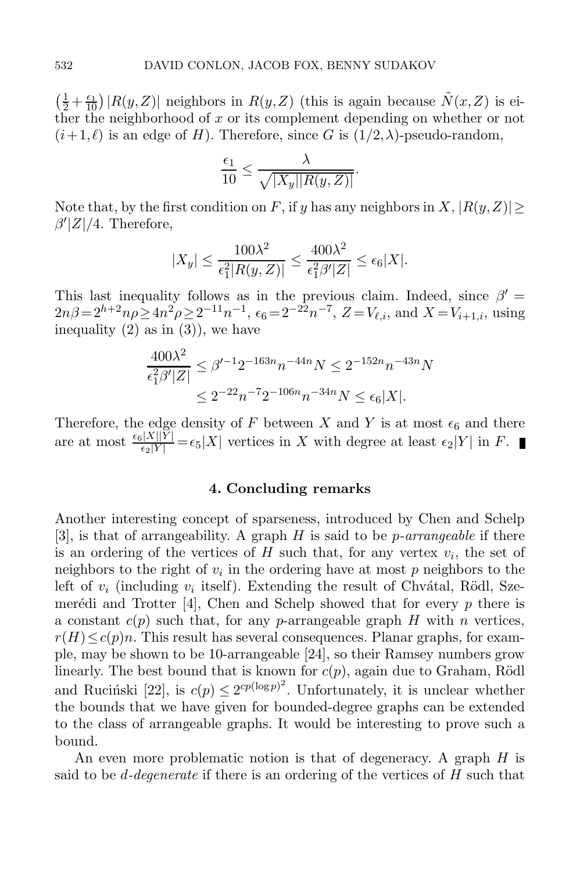$\left(\frac{1}{2} + \frac{\epsilon_1}{10}\right)|R(y,Z)|$  neighbors in  $R(y,Z)$  (this is again because  $\tilde{N}(x,Z)$  is either the neighborhood of x or its complement depending on whether or not ther the neighborhood of  $x$  or its complement depending on whether or not  $(i+1,\ell)$  is an edge of H). Therefore, since G is  $(1/2,\lambda)$ -pseudo-random,

$$
\frac{\epsilon_1}{10} \leq \frac{\lambda}{\sqrt{|X_y||R(y,Z)|}}.
$$

Note that, by the first condition on F, if y has any neighbors in X,  $|R(y, Z)|$  $\beta'$ |Z|/4. Therefore,

$$
|X_y| \le \frac{100\lambda^2}{\epsilon_1^2 |R(y, Z)|} \le \frac{400\lambda^2}{\epsilon_1^2 \beta' |Z|} \le \epsilon_6 |X|.
$$

This last inequality follows as in the previous claim. Indeed, since  $\beta'$  $2n\beta = 2^{h+2}n\rho \geq 4n^2\rho \geq 2^{-11}n^{-1}$ ,  $\epsilon_6 = 2^{-2n}n^{-7}$ ,  $Z = V_{\ell,i}$ , and  $X = V_{i+1,i}$ , using inequality  $(2)$  as in  $(3)$ , we have

$$
\frac{400\lambda^2}{\epsilon_1^2 \beta' |Z|} \le \beta'^{-1} 2^{-163n} n^{-44n} N \le 2^{-152n} n^{-43n} N
$$
  

$$
\le 2^{-22} n^{-7} 2^{-106n} n^{-34n} N \le \epsilon_6 |X|.
$$

Therefore, the edge density of F between X and Y is at most  $\epsilon_6$  and there are at most  $\frac{\epsilon_6|X||\tilde{Y}|}{\epsilon_2|Y|} = \epsilon_5|X|$  vertices in X with degree at least  $\epsilon_2|Y|$  in F.

#### **4. Concluding remarks**

Another interesting concept of sparseness, introduced by Chen and Schelp [\[3\]](#page-21-16), is that of arrangeability. A graph H is said to be p*-arrangeable* if there is an ordering of the vertices of H such that, for any vertex  $v_i$ , the set of neighbors to the right of  $v_i$  in the ordering have at most p neighbors to the left of  $v_i$  (including  $v_i$  itself). Extending the result of Chvátal, Rödl, Sze-merédi and Trotter [\[4\]](#page-21-3), Chen and Schelp showed that for every p there is a constant  $c(p)$  such that, for any p-arrangeable graph H with n vertices,  $r(H) \leq c(p)n$ . This result has several consequences. Planar graphs, for example, may be shown to be 10-arrangeable [\[24\]](#page-22-12), so their Ramsey numbers grow linearly. The best bound that is known for  $c(p)$ , again due to Graham, Rödl and Ruciński [\[22\]](#page-22-3), is  $c(p) \leq 2^{cp(\log p)^2}$ . Unfortunately, it is unclear whether the bounds that we have given for bounded-degree graphs can be extended to the class of arrangeable graphs. It would be interesting to prove such a bound.

An even more problematic notion is that of degeneracy. A graph H is said to be d*-degenerate* if there is an ordering of the vertices of H such that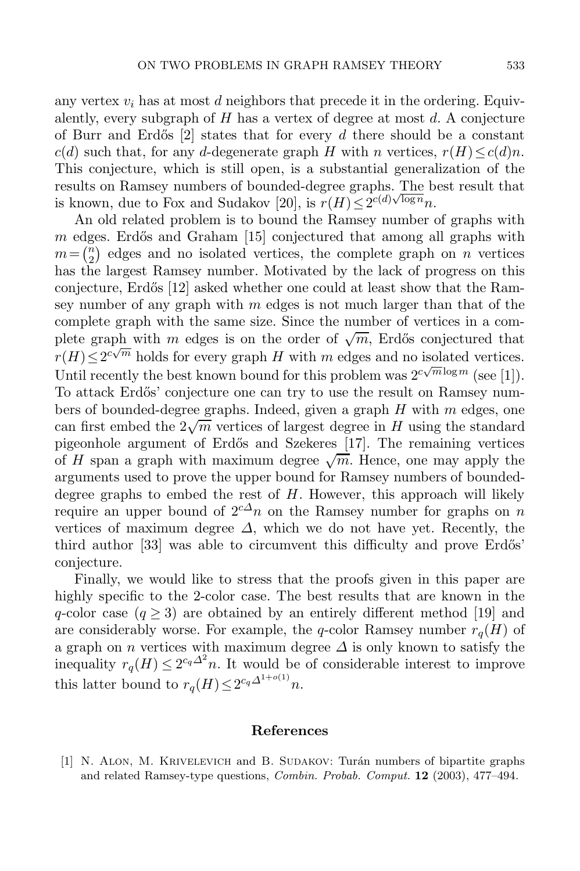any vertex  $v_i$  has at most d neighbors that precede it in the ordering. Equivalently, every subgraph of  $H$  has a vertex of degree at most  $d$ . A conjecture of Burr and Erdős  $[2]$  states that for every d there should be a constant  $c(d)$  such that, for any d-degenerate graph H with n vertices,  $r(H) \leq c(d)n$ . This conjecture, which is still open, is a substantial generalization of the results on Ramsey numbers of bounded-degree graphs. The best result that is known, due to Fox and Sudakov [\[20\]](#page-21-17), is  $r(H) \leq 2^{c(d)\sqrt{\log n}} n$ .

An old related problem is to bound the Ramsey number of graphs with  $m$  edges. Erdős and Graham [\[15\]](#page-21-18) conjectured that among all graphs with  $m = \binom{n}{2}$  edges and no isolated vertices, the complete graph on n vertices has the largest Ramsey number. Motivated by the lack of progress on this conjecture, Erdős [\[12\]](#page-21-14) asked whether one could at least show that the Ramsey number of any graph with  $m$  edges is not much larger than that of the complete graph with the same size. Since the number of vertices in a complete graph with m edges is on the order of  $\sqrt{m}$ , Erdős conjectured that  $r(H) \leq 2^{c\sqrt{m}}$  holds for every graph H with m edges and no isolated vertices. Until recently the best known bound for this problem was  $2^{c\sqrt{m}\log m}$  (see [\[1\]](#page-20-0)). To attack Erdős' conjecture one can try to use the result on Ramsey numbers of bounded-degree graphs. Indeed, given a graph H with m edges, one can first embed the  $2\sqrt{m}$  vertices of largest degree in H using the standard pigeonhole argument of Erd˝os and Szekeres [\[17\]](#page-21-0). The remaining vertices of H span a graph with maximum degree  $\sqrt{m}$ . Hence, one may apply the arguments used to prove the upper bound for Ramsey numbers of boundeddegree graphs to embed the rest of  $H$ . However, this approach will likely require an upper bound of  $2^{c\Delta}n$  on the Ramsey number for graphs on n vertices of maximum degree  $\Delta$ , which we do not have yet. Recently, the third author  $\left[33\right]$  was able to circumvent this difficulty and prove Erdős' conjecture.

Finally, we would like to stress that the proofs given in this paper are highly specific to the 2-color case. The best results that are known in the q-color case  $(q \geq 3)$  are obtained by an entirely different method [\[19\]](#page-21-7) and are considerably worse. For example, the q-color Ramsey number  $r_q(H)$  of a graph on n vertices with maximum degree  $\Delta$  is only known to satisfy the inequality  $r_q(H) \leq 2^{c_q \Delta^2} n$ . It would be of considerable interest to improve this latter bound to  $r_q(H) \leq 2^{c_q \Delta^{1+o(1)}} n$ .

#### **References**

<span id="page-20-0"></span>[1] N. ALON, M. KRIVELEVICH and B. SUDAKOV: Turán numbers of bipartite graphs and related Ramsey-type questions, *Combin. Probab. Comput.* **12** (2003), 477–494.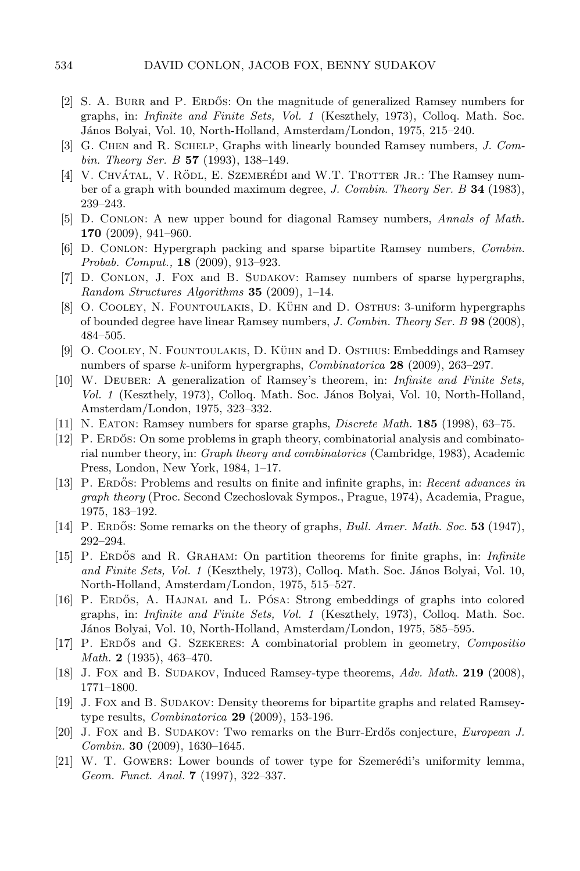- <span id="page-21-2"></span>[2] S. A. BURR and P. ERDOS: On the magnitude of generalized Ramsey numbers for graphs, in: *Infinite and Finite Sets, Vol. 1* (Keszthely, 1973), Colloq. Math. Soc. J´anos Bolyai, Vol. 10, North-Holland, Amsterdam/London, 1975, 215–240.
- <span id="page-21-16"></span>[3] G. Chen and R. Schelp, Graphs with linearly bounded Ramsey numbers, *J. Combin. Theory Ser. B* **57** (1993), 138–149.
- <span id="page-21-3"></span>[4] V. CHVÁTAL, V. RÖDL, E. SZEMERÉDI and W.T. TROTTER JR.: The Ramsey number of a graph with bounded maximum degree, *J. Combin. Theory Ser. B* **34** (1983), 239–243.
- <span id="page-21-1"></span>[5] D. Conlon: A new upper bound for diagonal Ramsey numbers, *Annals of Math.* **170** (2009), 941–960.
- <span id="page-21-6"></span>[6] D. Conlon: Hypergraph packing and sparse bipartite Ramsey numbers, *Combin. Probab. Comput.,* **18** (2009), 913–923.
- <span id="page-21-8"></span>[7] D. CONLON, J. FOX and B. SUDAKOV: Ramsey numbers of sparse hypergraphs, *Random Structures Algorithms* **35** (2009), 1–14.
- <span id="page-21-9"></span>[8] O. COOLEY, N. FOUNTOULAKIS, D. KÜHN and D. OSTHUS: 3-uniform hypergraphs of bounded degree have linear Ramsey numbers, *J. Combin. Theory Ser. B* **98** (2008), 484–505.
- <span id="page-21-10"></span>[9] O. COOLEY, N. FOUNTOULAKIS, D. KÜHN and D. OSTHUS: Embeddings and Ramsey numbers of sparse k-uniform hypergraphs, *Combinatorica* **28** (2009), 263–297.
- <span id="page-21-11"></span>[10] W. Deuber: A generalization of Ramsey's theorem, in: *Infinite and Finite Sets, Vol. 1* (Keszthely, 1973), Colloq. Math. Soc. J´anos Bolyai, Vol. 10, North-Holland, Amsterdam/London, 1975, 323–332.
- <span id="page-21-14"></span><span id="page-21-5"></span>[11] N. Eaton: Ramsey numbers for sparse graphs, *Discrete Math.* **185** (1998), 63–75.
- [12] P. ERDOS: On some problems in graph theory, combinatorial analysis and combinatorial number theory, in: *Graph theory and combinatorics* (Cambridge, 1983), Academic Press, London, New York, 1984, 1–17.
- <span id="page-21-13"></span>[13] P. ERDOS: Problems and results on finite and infinite graphs, in: *Recent advances in graph theory* (Proc. Second Czechoslovak Sympos., Prague, 1974), Academia, Prague, 1975, 183–192.
- <span id="page-21-18"></span>[14] P. ERDOS: Some remarks on the theory of graphs, *Bull. Amer. Math. Soc.* **53** (1947), 292–294.
- [15] P. Erdos˝ and R. Graham: On partition theorems for finite graphs, in: *Infinite and Finite Sets, Vol. 1* (Keszthely, 1973), Colloq. Math. Soc. János Bolyai, Vol. 10, North-Holland, Amsterdam/London, 1975, 515–527.
- <span id="page-21-12"></span>[16] P. ERDŐS, A. HAJNAL and L. PÓSA: Strong embeddings of graphs into colored graphs, in: *Infinite and Finite Sets, Vol. 1* (Keszthely, 1973), Colloq. Math. Soc. János Bolyai, Vol. 10, North-Holland, Amsterdam/London, 1975, 585–595.
- <span id="page-21-0"></span>[17] P. Erdos˝ and G. Szekeres: A combinatorial problem in geometry, *Compositio Math.* **2** (1935), 463–470.
- <span id="page-21-15"></span><span id="page-21-7"></span>[18] J. Fox and B. Sudakov, Induced Ramsey-type theorems, *Adv. Math.* **219** (2008), 1771–1800.
- [19] J. Fox and B. Sudakov: Density theorems for bipartite graphs and related Ramseytype results, *Combinatorica* **29** (2009), 153-196.
- <span id="page-21-17"></span>[20] J. Fox and B. SUDAKOV: Two remarks on the Burr-Erdős conjecture, *European J. Combin.* **30** (2009), 1630–1645.
- <span id="page-21-4"></span>[21] W. T. GOWERS: Lower bounds of tower type for Szemerédi's uniformity lemma, *Geom. Funct. Anal.* **7** (1997), 322–337.